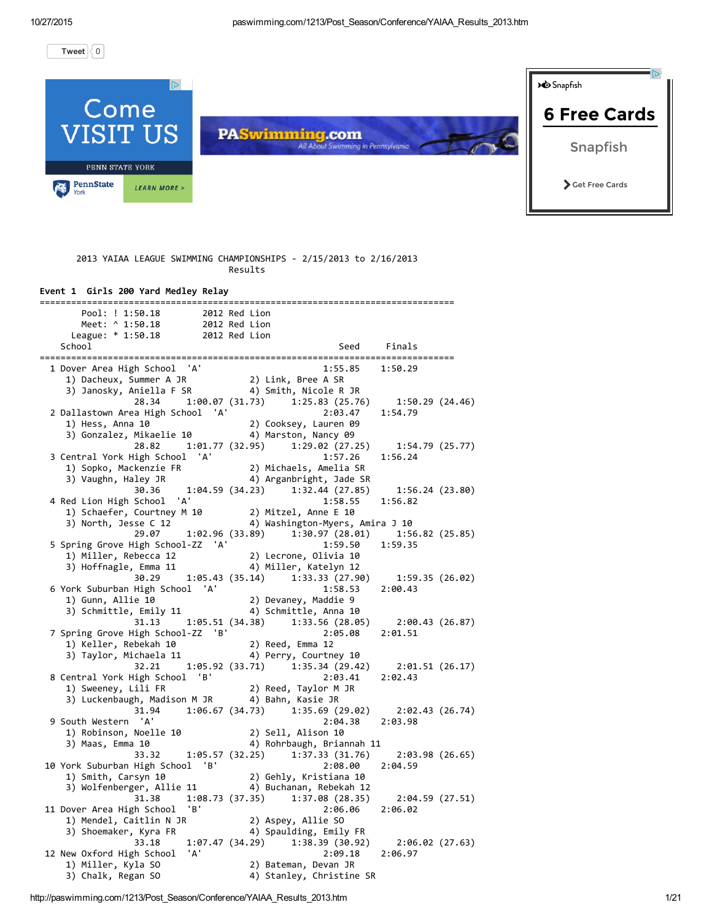[Tweet](https://twitter.com/intent/tweet?hashtags=paswimming&original_referer=http%3A%2F%2Fpaswimming.com%2F1213%2FPost_Season%2FConference%2FYAIAA_Results_2013.htm&ref_src=twsrc%5Etfw&related=paswimming&tw_p=tweetbutton&url=http%3A%2F%2Fpaswimming.com%2F1213%2FPost_Season%2FConference%2FYAIAA_Results_2013.htm&via=paswimming)  $\langle 0 \rangle$  $\langle 0 \rangle$  $\langle 0 \rangle$ 

 $\overline{\mathbb{D}}$ **D** Snapfish Come 6 Free [Cards](http://www.googleadservices.com/pagead/aclk?sa=L&ai=CTiXqipsvVsOtObL77Aaz2raIDcXI47IH3eeStaUC9M3d8TQQASCN5IQDYMmGgIDQpNwRoAH9tunvA8gBCagDAaoEqAFP0Bgx9BWCxJlUDh6yg_mJUqnrZ7dZxMDkKb2gm6XotwD6vqgD6hh6XnStwCY90slD7KtXwsKRQwrw8rIPS_oHE1NqN901x0WqlQE3nH76WNFaL5-7YM0SeD6hUkIgq5JFfbKCjQmKDc4R2KSVnlaxPcl2cJhJV5ajlIA5DYq2EhoazDC9EF-tNf6goqjhShiv_67yIqQMWfhSQjhCSqs_5uVzfzLj1eaIBgGgBi6AB-vIlhCoB6a-G6gHtcEb2AcA2BMM&num=1&cid=5GgTuLaJkadHIIu9RCY8mtIE&sig=AOD64_2o-NZeduDxG0dFHz254Dtf446xzQ&client=ca-pub-2386750526635199&adurl=http://www.snapfish.com/photo-gift/home%3FCID%3Dus%7Cgdn%7Cssf%7Csf%7Chtml5%7Cweb%7Cnon%7CCard6) SIT US **PASwimming.com** Snapfish PENN STATE YORK PennState Get Free Cards **LEARN MORE** >

#### 2013 YAIAA LEAGUE SWIMMING CHAMPIONSHIPS ‐ 2/15/2013 to 2/16/2013 Results

#### Event 1 Girls 200 Yard Medley Relay =============================================================================== Pool: ! 1:50.18 2012 Red Lion Meet: ^ 1:50.18 2012 Red Lion League:  $* 1:50.18$ School Seed Finals =============================================================================== 1 Dover Area High School 'A' 1:55.85 1:50.29 1) Dacheux, Summer A JR 2) Link, Bree A SR 3) Janosky, Aniella F SR 28.34 1:00.07 (31.73) 1:25.83 (25.76) 1:50.29 (24.46) 2 Dallastown Area High School 'A' 2:03.47 1:54.79 1) Hess, Anna 10 2) Cooksey, Lauren 09 3) Gonzalez, Mikaelie 10 4) Marston, Nancy 09 28.82 1:01.77 (32.95) 1:29.02 (27.25) 1:54.79 (25.77) 3 Central York High School 'A' 1:57.26 1:56.24 1) Sopko, Mackenzie FR 2) Michaels, Amelia SR 3) Vaughn, Haley JR 4) Arganbright, Jade SR 30.36 1:04.59 (34.23) 1:32.44 (27.85) 1:56.24 (23.80) 4 Red Lion High School 'A' 1:58.55 1:56.82 1) Schaefer, Courtney M 10 2) Mitzel, Anne E 10<br>3) North, Jesse C 12 4) Washington-Myers, 4) Washington-Myers, Amira J 10 29.07 1:02.96 (33.89) 1:30.97 (28.01) 1:56.82 (25.85) 5 Spring Grove High School‐ZZ 'A' 1:59.50 1:59.35 1) Miller, Rebecca 12 2) Lecrone, Olivia 10 3) Hoffnagle, Emma 11 4) Miller, Katelyn 12 30.29 1:05.43 (35.14) 1:33.33 (27.90) 1:59.35 (26.02) 6 York Suburban High School 'A' 1:58.53 2:00.43 1) Gunn, Allie 10 2) Devaney, Maddie 9 3) Schmittle, Emily 11 4) Schmittle, Anna 10 31.13 1:05.51 (34.38) 1:33.56 (28.05) 2:00.43 (26.87) 7 Spring Grove High School‐ZZ 'B' 2:05.08 2:01.51 1) Keller, Rebekah 10 3) Taylor, Michaela 11 4) Perry, Courtney 10 32.21 1:05.92 (33.71) 1:35.34 (29.42) 2:01.51 (26.17) 8 Central York High School 'B' 2:03.41 2:02.43 2) Reed, Taylor M JR 3) Luckenbaugh, Madison M JR 4) Bahn, Kasie JR 31.94 1:06.67 (34.73) 1:35.69 (29.02) 2:02.43 (26.74) 9 South Western 'A' 2:04.38 2:03.98 1) Robinson, Noelle 10 2) Sell, Alison 10 3) Maas, Emma 10 4) Rohrbaugh, Briannah 11 33.32 1:05.57 (32.25) 1:37.33 (31.76) 2:03.98 (26.65) 10 York Suburban High School 'B' 1) Smith, Carsyn 10 2) Gehly, Kristiana 10 3) Wolfenberger, Allie 11 4) Buchanan, Rebekah 12 31.38 1:08.73 (37.35) 1:37.08 (28.35) 2:04.59 (27.51) 11 Dover Area High School 'B' 2:06.06 2:06.02 1) Mendel, Caitlin N JR 2) Aspey, Allie SO<br>3) Shoemaker, Kyra FR 4) Spaulding, Emily FR 3) Shoemaker, Kyra FR 33.18 1:07.47 (34.29) 1:38.39 (30.92) 2:06.02 (27.63) 12 New Oxford High School 'A' 2:09.18 2:06.97 1) Miller, Kyla SO 2) Bateman, Devan JR 3) Chalk, Regan SO 4) Stanley, Christine SR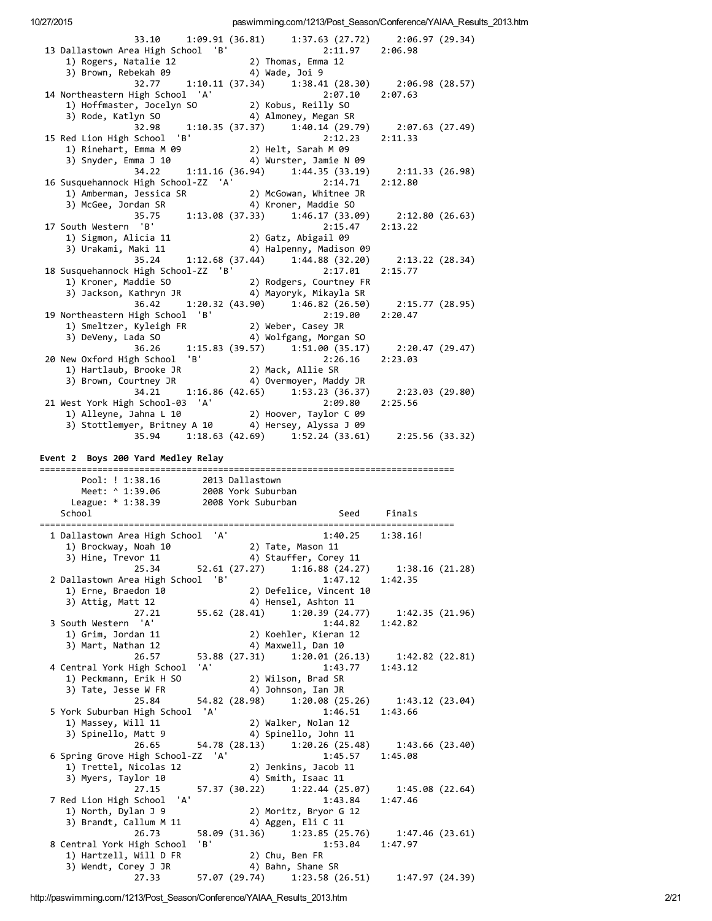| 33.10 1:09.91 (36.81) 1:37.63 (27.72) 2:06.97 (29.34)                                                                                                                                                |  |                                                 |                | 2:11.97 2:06.98               |                                                          |  |
|------------------------------------------------------------------------------------------------------------------------------------------------------------------------------------------------------|--|-------------------------------------------------|----------------|-------------------------------|----------------------------------------------------------|--|
| 13 Dallastown Area High School 'B' 2:11.<br>1) Rogers, Natalie 12 2) Thomas, Emma 12<br>3) Brown, Rebekah 09 4) Wade, Joi 9                                                                          |  |                                                 |                |                               |                                                          |  |
| 32.77   1:10.11 (37.34)   1:38.41 (28.30)   2:06.98 (28.57)<br>High School 'A'   2:07.10   2:07.63                                                                                                   |  |                                                 |                |                               |                                                          |  |
|                                                                                                                                                                                                      |  |                                                 |                |                               |                                                          |  |
| 14 Northeastern High School 'A' 2:07.10 2:07.63<br>1) Hoffmaster, Jocelyn SO 2) Kobus, Reilly SO<br>3) Rode, Katlyn SO 4) Almoney, Megan SR<br>32.98 1:10.35 (37.37) 1:40.14 (29.79) 2:07.63 (27.49) |  |                                                 |                |                               |                                                          |  |
|                                                                                                                                                                                                      |  |                                                 |                |                               |                                                          |  |
| 15 Red Lion High School 'B'                                                                                                                                                                          |  |                                                 |                | 2:12.23                       | 2:11.33                                                  |  |
| 3) Snyder, Emma J 10 (4) Wurster, Jamie N 09                                                                                                                                                         |  |                                                 |                |                               |                                                          |  |
| 34.22   1:11.16   (36.94)   1:44.35   (33.19)   2:11.33   (26.98)                                                                                                                                    |  |                                                 |                |                               |                                                          |  |
| 16 Susquehannock High School-ZZ 'A' 2:14.71 2:12.80<br>1) Amberman, Jessica SR 2) McGowan, Whitnee JR<br>3) McGee, Jordan SR 4) Kroner, Maddie SO                                                    |  |                                                 |                |                               |                                                          |  |
|                                                                                                                                                                                                      |  |                                                 |                |                               |                                                          |  |
| 35.75   1:13.08   (37.33)   1:46.17   (33.09)   2:12.80   (26.63)<br>17 South Western 'B'                                                                                                            |  |                                                 |                |                               |                                                          |  |
|                                                                                                                                                                                                      |  |                                                 |                | 2:15.47                       | 2:13.22                                                  |  |
| 1) Sigmon, Alicia 11 (2) Gatz, Abigail 09<br>3) Urakami, Maki 11 (4) Halpenny, Madison 09                                                                                                            |  |                                                 |                |                               |                                                          |  |
| 35.24 1:12.68 (37.44) 1:44.88 (32.20) 2:13.22 (28.34)<br>18 Susquehannock High School-ZZ 'B'                                                                                                         |  |                                                 |                | 2:17.01                       | 2:15.77                                                  |  |
| 1) Kroner, Maddie SO (2) Rodgers, Courtney FR<br>3) Jackson, Kathryn JR (4) Mayoryk, Mikayla SR                                                                                                      |  |                                                 |                |                               |                                                          |  |
|                                                                                                                                                                                                      |  |                                                 |                |                               |                                                          |  |
| 36.42 1:20.32 (43.90) 1:46.82 (26.50) 2:15.77 (28.95)                                                                                                                                                |  |                                                 |                | 2:19.00 2:20.47               |                                                          |  |
| 19 Northeastern High School 'B' 2:19.00<br>1) Smeltzer, Kyleigh FR 2) Weber, Casey JR<br>3) DeVeny, Lada SO 4) Wolfgang, Morgan SO                                                                   |  |                                                 |                |                               |                                                          |  |
|                                                                                                                                                                                                      |  |                                                 |                |                               |                                                          |  |
| $36.26$ 1:15.83 (39.57) 1:51.00 (35.17) 2:20.47 (29.47)<br>20 New Oxford High School 'B'                                                                                                             |  |                                                 |                | $2:26.16$ $2:23.03$           |                                                          |  |
|                                                                                                                                                                                                      |  |                                                 |                |                               |                                                          |  |
|                                                                                                                                                                                                      |  |                                                 |                |                               |                                                          |  |
| 34.21   1:16.86 (42.65)   1:53.23 (36.37)   2:23.03 (29.80)                                                                                                                                          |  |                                                 |                | 2:09.80                       | 2:25.56                                                  |  |
| 21 West York High School-03 'A' 2:09.80<br>1) Alleyne, Jahna L 10 2) Hoover, Taylor C 09                                                                                                             |  |                                                 |                |                               |                                                          |  |
| 3) Stottlemyer, Britney A 10 4) Hersey, Alyssa J 09<br>35.94 1:18.63 (42.69) 1:52.24 (33.61) 2:25.56 (33.32)                                                                                         |  |                                                 |                |                               |                                                          |  |
|                                                                                                                                                                                                      |  |                                                 |                |                               |                                                          |  |
| Event 2 Boys 200 Yard Medley Relay                                                                                                                                                                   |  |                                                 |                |                               |                                                          |  |
|                                                                                                                                                                                                      |  |                                                 |                |                               |                                                          |  |
|                                                                                                                                                                                                      |  |                                                 |                |                               |                                                          |  |
| Pool: ! 1:38.16 2013 Dallastown<br>Meet: ^ 1:39.06 2008 York Suburban                                                                                                                                |  |                                                 |                |                               |                                                          |  |
| League: * 1:38.39 2008 York Suburban<br>School                                                                                                                                                       |  |                                                 |                | Seed Finals                   |                                                          |  |
|                                                                                                                                                                                                      |  |                                                 |                |                               |                                                          |  |
| 1 Dallastown Area High School 'A'                                                                                                                                                                    |  |                                                 |                | 1:40.25                       | 1:38.16!                                                 |  |
| 1) Brockway, Noah 10 (2) Tate, Mason 11<br>3) Hine, Trevor 11                                                                                                                                        |  | 4) Stauffer, Corey 11                           |                |                               |                                                          |  |
| 25.34                                                                                                                                                                                                |  | $52.61(27.27)$ $1:16.88(24.27)$                 |                |                               | 1:38.16 (21.28)                                          |  |
| 2 Dallastown Area High School 'B'                                                                                                                                                                    |  |                                                 |                | 1:47.12                       | 1:42.35                                                  |  |
| 1) Erne, Braedon 10<br>3) Attig, Matt 12                                                                                                                                                             |  | 2) Defelice, Vincent 10<br>4) Hensel, Ashton 11 |                |                               |                                                          |  |
| 27.21                                                                                                                                                                                                |  | 55.62 (28.41) 1:20.39 (24.77)                   |                |                               | 1:42.35 (21.96)                                          |  |
| 3 South Western 'A'<br>1) Grim, Jordan 11                                                                                                                                                            |  | 2) Koehler, Kieran 12                           |                | 1:44.82                       | 1:42.82                                                  |  |
| 3) Mart, Nathan 12                                                                                                                                                                                   |  | 4) Maxwell, Dan 10                              |                |                               |                                                          |  |
| 26.57                                                                                                                                                                                                |  | 53.88 (27.31)                                   | 1:20.01(26.13) |                               | 1:42.82 (22.81)                                          |  |
| 4 Central York High School 'A'<br>1) Peckmann, Erik H SO                                                                                                                                             |  | 2) Wilson, Brad SR                              |                | 1:43.77                       | 1:43.12                                                  |  |
| 3) Tate, Jesse W FR                                                                                                                                                                                  |  | 4) Johnson, Ian JR                              |                |                               |                                                          |  |
| 25.84                                                                                                                                                                                                |  | 54.82 (28.98)                                   | 1:20.08(25.26) |                               | 1:43.12(23.04)                                           |  |
| 5 York Suburban High School 'A'<br>1) Massey, Will 11                                                                                                                                                |  | 2) Walker, Nolan 12                             |                | 1:46.51                       | 1:43.66                                                  |  |
| 3) Spinello, Matt 9                                                                                                                                                                                  |  | 4) Spinello, John 11                            |                |                               |                                                          |  |
| 26.65                                                                                                                                                                                                |  | 54.78 (28.13) 1:20.26 (25.48)                   |                | 1:45.57                       | 1:43.66(23.40)<br>1:45.08                                |  |
| 6 Spring Grove High School-ZZ 'A'<br>1) Trettel, Nicolas 12                                                                                                                                          |  | 2) Jenkins, Jacob 11                            |                |                               |                                                          |  |
| 3) Myers, Taylor 10                                                                                                                                                                                  |  | 4) Smith, Isaac 11                              |                |                               |                                                          |  |
| 27.15<br>'A'<br>7 Red Lion High School                                                                                                                                                               |  | 57.37 (30.22) 1:22.44 (25.07)                   |                | 1:43.84                       | 1:45.08(22.64)<br>1:47.46                                |  |
| 1) North, Dylan J 9                                                                                                                                                                                  |  | 2) Moritz, Bryor G 12                           |                |                               |                                                          |  |
| 3) Brandt, Callum M 11                                                                                                                                                                               |  | 4) Aggen, Eli C 11                              |                |                               |                                                          |  |
| 26.73<br>8 Central York High School 'B'                                                                                                                                                              |  |                                                 |                | 1:53.04                       | 58.09 (31.36) 1:23.85 (25.76) 1:47.46 (23.61)<br>1:47.97 |  |
| 1) Hartzell, Will D FR                                                                                                                                                                               |  | 2) Chu, Ben FR                                  |                |                               |                                                          |  |
| 3) Wendt, Corey J JR<br>27.33                                                                                                                                                                        |  | 4) Bahn, Shane SR                               |                | 57.07 (29.74) 1:23.58 (26.51) | 1:47.97(24.39)                                           |  |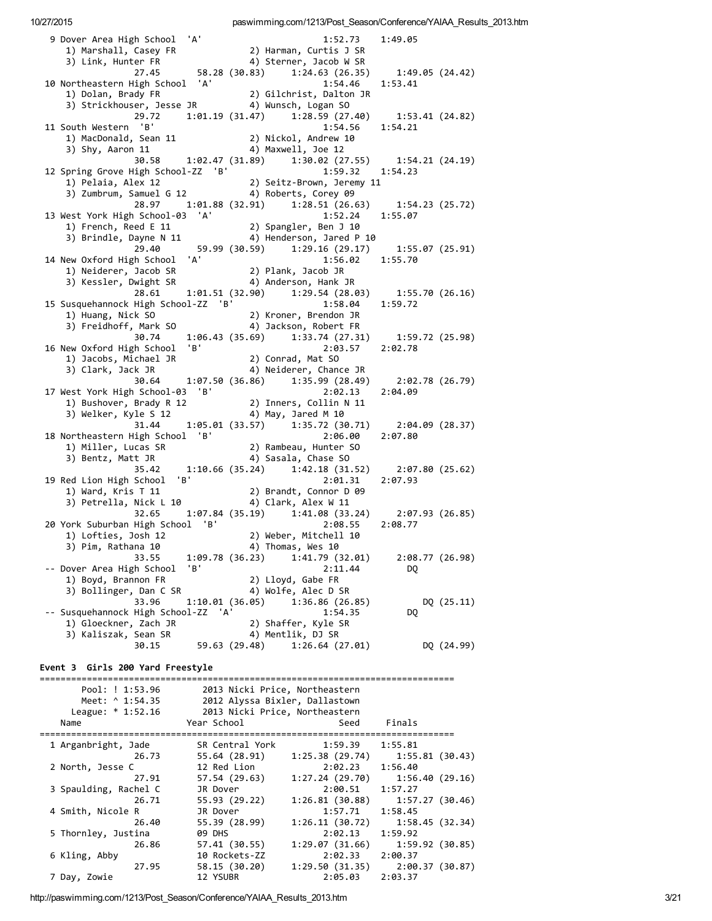9 Dover Area High School 'A' Dover Area High School (1994) Harman, Curtis John (1995) John (1994) Harman, Curtis John (1994) Sterner, Jacob W SR<br>1) Marshall, Casey FR (2) Sterner, Jacob W SR 1:49.05 1) Marshall, Core, (20.28 (30.83) Link, Hunter FR (27.45 (38.28 (30.83) 1:24.63 (26.35)  $1:49.05(24.42)$ 10 Northeastern High School 'A' 1:54.46 1:53.41 2) Gilchrist, Dalton JR 1) Dolan, Brady FR 29.72 1:01.19 (31.47) 1:28.59 (27.40) 1:53.41 (24.82) 11 South Western 'B' 1:54.56  $1:54.21$ 1) MacDonald, Sean 11 2) Nickol, Andrew 10 3) Shy, Aaron 11 4) Maxwell, Joe 12 30.58 1:02.47 (31.89) 1:30.02 (27.55) 1:54.21 (24.19) 1:59.32 1:54.23 12 Spring Grove High School-ZZ 'B'  $\frac{1}{3}$   $\frac{1}{2}$   $\frac{1}{2}$ <br>3)  $\frac{2}{3}$   $\frac{1}{2}$   $\frac{1}{2}$   $\frac{1}{2}$   $\frac{1}{2}$ 2) Seitz-Brown, Jeremy 11 4) Roberts, Corey 09 28.97 1:01.88 (32.91) 1:28.51 (26.63)  $1:54.23(25.72)$ 1:52.24 13 West York High School-03 'A'  $1:55.07$ 1) French, Reed E 11 2) Spangler, Ben J 10 4) Henderson, Jared P 10 3) Brindle, Dayne N 11 29.40 59.99 (30.59) 1:29.16 (29.17) 1:55.07 (25.91) 14 New Oxford High School 'A' 1:56.02 1:55.70 lew Oxtonu Habel Sensis<br>1) Neiderer, Jacob SR<br>11 Sensis Sensis Sensis Sensis 2) Plank, Jacob JR 3) Kessler, Dwight SR 4) Anderson, Hank JR 28.61  $1:01.51$  (32.90)  $1:29.54$  (28.03)  $1:55.70(26.16)$ 15 Susquehannock High School-ZZ 'B' 1:58.04 1:59.72 1) Huang, Nick SO 2) Kroner, Brendon JR 3) Freidhoff, Mark SO 4) Jackson, Robert FR  $\begin{array}{cccc} 30.74 & 1:06.43 & (35.69) & 1:33.74 & (27.31) & 1:59.72 & (25.98) \end{array}$ 16 New Oxford High School 'B' 2:03.57 2:02.78 1) Jacobs, Michael JR 2) Conrad, Mat SO  $4)$  Neiderer, Chance JR 3) Clark, Jack JR 1:07.50 (36.86) 1:35.99 (28.49) 30.64 2:02.78 (26.79) 17 West York High School-03 'B' 2:02.13  $2:04.09$ 1) Bushover, Brady R 12 2) Inners, Collin N 11 4) May, Jared M 10 3) Welker, Kyle S 12  $31.44$  1:05.01 (33.57) 1:35.72 (30.71) 2:04.09 (28.37) 18 Northeastern High School 'B' 2:06.00  $2:07.80$ 2) Rambeau, Hunter SO 1) Miller, Lucas SR 3) Bentz, Matt JR 4) Sasala, Chase SO 35.42  $1:10.66(35.24)$   $1:42.18(31.52)$  $2:07.80(25.62)$ 19 Red Lion High School 'B'  $2:01.31$  $2:07.93$ 1) Ward, Kris  $T$  11 2) Brandt, Connor D 09 1) Ward, Kris I 11 (2) Brandt, Connor D<br>3) Petrella, Nick L 10 (2) 4) Clark, Alex W 11 32.65 1:07.84 (35.19) 1:41.08 (33.24)<br>High School 'B' 2:08.55  $2:07.93(26.85)$ 20 York Suburban High School 'B' 2:08.55  $2:08.77$ 2) Weber, Mitchell 10 1) Lofties, Josh 12 3) Pim, Rathana 10 4) Thomas, Wes 10 33.55 1:09.78 (36.23) 1:41.79 (32.01) 2:08.77 (26.98) -- Dover Area High School 'B' 2:11.44 DQ 1) Boyd, Brannon FR 2) Lloyd, Gabe FR 3) Bollinger, Dan C SR 4) Wolfe, Alec D SR 33.96 1:10.01 (36.05) 1:36.86 (26.85) DQ (25.11) **DQ** -- Susquehannock High School-ZZ 'A'  $1:54.35$ ousquenannock ....<br>1) Gloeckner, Zach JR<br>1 2) Shaffer, Kyle SR 4) Mentlik, DJ SR 3) Kaliszak, Sean SR 30.15 59.63 (29.48) 1:26.64 (27.01) DQ (24.99) Event 3 Girls 200 Yard Freestyle 

paswimming.com/1213/Post Season/Conference/YAIAA Results 2013.htm

10/27/2015

| League: $* 1:52.16$ |                 |                                |  |  |
|---------------------|-----------------|--------------------------------|--|--|
| Year School         | Seed            | Finals                         |  |  |
|                     |                 |                                |  |  |
| SR Central York     | 1:59.39         | 1:55.81                        |  |  |
| 55.64 (28.91)       | 1:25.38(29.74)  | 1:55.81 (30.43)                |  |  |
| 12 Red Lion         | 2:02.23         | 1:56.40                        |  |  |
| 57.54 (29.63)       | 1:27.24(29.70)  | 1:56.40(29.16)                 |  |  |
| JR Dover            | 2:00.51         | 1:57.27                        |  |  |
| 55.93 (29.22)       | 1:26.81 (30.88) | 1:57.27 (30.46)                |  |  |
| JR Dover            | 1:57.71         | 1:58.45                        |  |  |
| 55.39 (28.99)       | 1:26.11(30.72)  | 1:58.45 (32.34)                |  |  |
| <b>09 DHS</b>       | 2:02.13         | 1:59.92                        |  |  |
| 57.41(30.55)        | 1:29.07(31.66)  | 1:59.92(30.85)                 |  |  |
| 10 Rockets-ZZ       | 2:02.33         | 2:00.37                        |  |  |
| 58.15 (30.20)       | 1:29.50 (31.35) | 2:00.37 (30.87)                |  |  |
| 12 YSUBR            | 2:05.03         | 2:03.37                        |  |  |
|                     |                 | 2013 Nicki Price, Northeastern |  |  |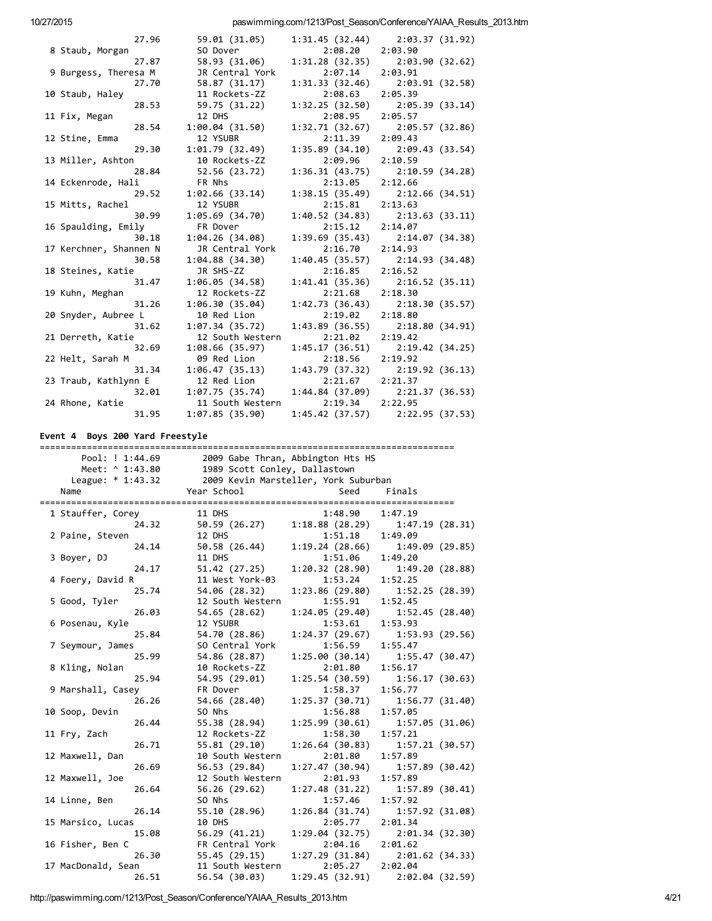|                        | 27.96 | 59.01 (31.05)    |                 | $1:31.45(32.44)$ $2:03.37(31.92)$   |
|------------------------|-------|------------------|-----------------|-------------------------------------|
| 8 Staub, Morgan        |       | SO Dover         | 2:08.20         | 2:03.90                             |
|                        | 27.87 | 58.93 (31.06)    | 1:31.28(32.35)  | 2:03.90 (32.62)                     |
| 9 Burgess, Theresa M   |       | JR Central York  | 2:07.14         | 2:03.91                             |
|                        | 27.70 | 58.87 (31.17)    | 1:31.33(32.46)  | 2:03.91 (32.58)                     |
| 10 Staub, Haley        |       | 11 Rockets-ZZ    | 2:08.63         | 2:05.39                             |
|                        | 28.53 | 59.75 (31.22)    | 1:32.25(32.50)  | 2:05.39 (33.14)                     |
| 11 Fix, Megan          |       | 12 DHS           | 2:08.95         | 2:05.57                             |
|                        | 28.54 | 1:00.04(31.50)   | 1:32.71(32.67)  | 2:05.57 (32.86)                     |
| 12 Stine, Emma         |       | 12 YSUBR         | 2:11.39         | 2:09.43                             |
|                        | 29.30 | 1:01.79(32.49)   | 1:35.89(34.10)  | 2:09.43 (33.54)                     |
| 13 Miller, Ashton      |       | 10 Rockets-ZZ    | 2:09.96         | 2:10.59                             |
|                        | 28.84 | 52.56 (23.72)    | 1:36.31(43.75)  | 2:10.59 (34.28)                     |
| 14 Eckenrode, Hali     |       | FR Nhs           | 2:13.05         | 2:12.66                             |
|                        | 29.52 | 1:02.66(33.14)   | 1:38.15(35.49)  | 2:12.66 (34.51)                     |
| 15 Mitts, Rachel       |       | 12 YSUBR         | 2:15.81         | 2:13.63                             |
|                        | 30.99 | 1:05.69(34.70)   | 1:40.52(34.83)  | 2:13.63 (33.11)                     |
| 16 Spaulding, Emily    |       | FR Dover         | 2:15.12         | 2:14.07                             |
|                        | 30.18 | 1:04.26(34.08)   |                 | $1:39.69(35.43)$ $2:14.07(34.38)$   |
| 17 Kerchner, Shannen N |       | JR Central York  | 2:16.70         | 2:14.93                             |
|                        | 30.58 | 1:04.88(34.30)   |                 | $1:40.45(35.57)$ $2:14.93(34.48)$   |
| 18 Steines, Katie      |       | JR SHS-ZZ        | 2:16.85         | 2:16.52                             |
|                        | 31.47 | 1:06.05(34.58)   | 1:41.41(35.36)  | 2:16.52 (35.11)                     |
| 19 Kuhn, Meghan        |       | 12 Rockets-ZZ    | 2:21.68         | 2:18.30                             |
|                        | 31.26 | 1:06.30(35.04)   | 1:42.73 (36.43) | 2:18.30 (35.57)                     |
| 20 Snyder, Aubree L    |       | 10 Red Lion      | 2:19.02         | 2:18.80                             |
|                        | 31.62 | 1:07.34(35.72)   | 1:43.89(36.55)  | 2:18.80(34.91)                      |
| 21 Derreth, Katie      |       | 12 South Western | 2:21.02         | 2:19.42                             |
|                        | 32.69 | 1:08.66(35.97)   | 1:45.17(36.51)  | 2:19.42 (34.25)                     |
| 22 Helt, Sarah M       |       | 09 Red Lion      | 2:18.56         | 2:19.92                             |
|                        | 31.34 | 1:06.47(35.13)   |                 | $1:43.79(37.32)$ $2:19.92(36.13)$   |
| 23 Traub, Kathlynn E   |       | 12 Red Lion      | 2:21.67         | 2:21.37                             |
|                        | 32.01 | 1:07.75(35.74)   |                 | 1:44.84 (37.09) 2:21.37 (36.53)     |
| 24 Rhone, Katie        |       | 11 South Western | 2:19.34         | 2:22.95                             |
|                        | 31.95 | 1:07.85(35.90)   |                 | $1:45.42$ (37.57) $2:22.95$ (37.53) |
|                        |       |                  |                 |                                     |

# Event 4 Boys 200 Yard Freestyle

| 2009 Gabe Thran, Abbington Hts HS<br>Pool: ! 1:44.69 |                               |                                      |                                   |  |
|------------------------------------------------------|-------------------------------|--------------------------------------|-----------------------------------|--|
| Meet: ^ 1:43.80                                      | 1989 Scott Conley, Dallastown |                                      |                                   |  |
| League: * 1:43.32                                    |                               | 2009 Kevin Marsteller, York Suburban |                                   |  |
| Name                                                 | Year School                   | Seed                                 | Finals                            |  |
|                                                      |                               |                                      |                                   |  |
| 1 Stauffer, Corey                                    | 11 DHS                        | 1:48.90                              | 1:47.19                           |  |
| 24.32                                                | 50.59 (26.27)                 | 1:18.88(28.29)                       | 1:47.19(28.31)                    |  |
| 2 Paine, Steven                                      | 12 DHS                        | 1:51.18                              | 1:49.09                           |  |
| 24.14                                                | 50.58 (26.44)                 | 1:19.24(28.66)                       | 1:49.09(29.85)                    |  |
| 3 Boyer, DJ                                          | 11 DHS                        | 1:51.06                              | 1:49.20                           |  |
| 24.17                                                | 51.42 (27.25)                 | 1:20.32(28.90)                       | 1:49.20(28.88)                    |  |
| 4 Foery, David R                                     | 11 West York-03               | 1:53.24                              | 1:52.25                           |  |
| 25.74                                                | 54.06 (28.32)                 | 1:23.86(29.80)                       | 1:52.25(28.39)                    |  |
| 5 Good, Tyler                                        | 12 South Western              | 1:55.91                              | 1:52.45                           |  |
| 26.03                                                | 54.65 (28.62)                 | 1:24.05(29.40)                       | 1:52.45(28.40)                    |  |
| 6 Posenau, Kyle                                      | 12 YSUBR                      | 1:53.61                              | 1:53.93                           |  |
| 25.84                                                | 54.70 (28.86)                 | 1:24.37(29.67)                       | 1:53.93(29.56)                    |  |
| 7 Seymour, James                                     | SO Central York               | 1:56.59                              | 1:55.47                           |  |
| 25.99                                                | 54.86 (28.87)                 | 1:25.00(30.14)                       | 1:55.47(30.47)                    |  |
| 8 Kling, Nolan                                       | 10 Rockets-ZZ                 | 2:01.80                              | 1:56.17                           |  |
| 25.94                                                | 54.95 (29.01)                 | 1:25.54(30.59)                       | 1:56.17(30.63)                    |  |
| 9 Marshall, Casey                                    | FR Dover                      | 1:58.37                              | 1:56.77                           |  |
| 26.26                                                | 54.66 (28.40)                 | 1:25.37(30.71)                       | 1:56.77(31.40)                    |  |
| 10 Soop, Devin                                       | SO Nhs                        | 1:56.88                              | 1:57.05                           |  |
| 26.44                                                | 55.38 (28.94)                 | 1:25.99(30.61)                       | 1:57.05(31.06)                    |  |
| 11 Fry, Zach                                         | 12 Rockets-ZZ                 | 1:58.30                              | 1:57.21                           |  |
| 26.71                                                | 55.81 (29.10)                 | 1:26.64(30.83)                       | 1:57.21(30.57)                    |  |
| 12 Maxwell, Dan                                      | 10 South Western              | 2:01.80                              | 1:57.89                           |  |
| 26.69                                                | 56.53 (29.84)                 | 1:27.47(30.94)                       | 1:57.89(30.42)                    |  |
| 12 Maxwell, Joe                                      | 12 South Western              | 2:01.93                              | 1:57.89                           |  |
| 26.64                                                | 56.26 (29.62)                 | 1:27.48(31.22)                       | 1:57.89(30.41)                    |  |
| 14 Linne, Ben                                        | SO Nhs                        | 1:57.46                              | 1:57.92                           |  |
| 26.14                                                | 55.10 (28.96)                 | 1:26.84(31.74)                       | 1:57.92(31.08)                    |  |
| 15 Marsico, Lucas                                    | 10 DHS                        | 2:05.77                              | 2:01.34                           |  |
| 15.08                                                | 56.29(41.21)                  | 1:29.04 (32.75)                      | 2:01.34(32.30)                    |  |
| 16 Fisher, Ben C                                     | FR Central York               | 2:04.16                              | 2:01.62                           |  |
| 26.30                                                | 55.45 (29.15)                 |                                      | $1:27.29(31.84)$ $2:01.62(34.33)$ |  |
| 17 MacDonald, Sean                                   | 11 South Western              | 2:05.27                              | 2:02.04                           |  |
| 26.51                                                | 56.54 (30.03)                 | 1:29.45 (32.91)                      | 2:02.04(32.59)                    |  |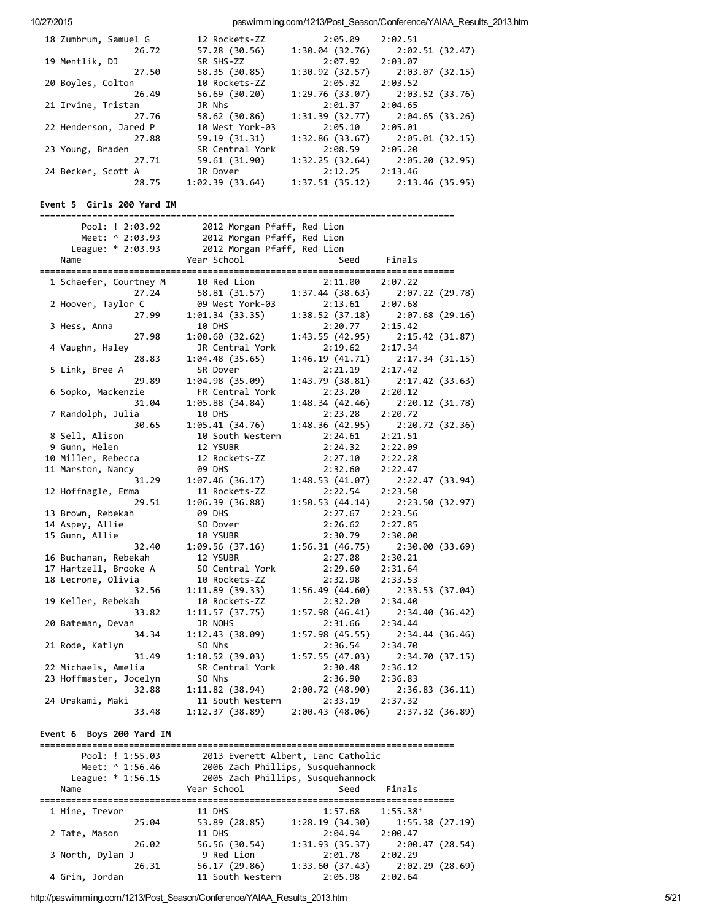| 18 Zumbrum, Samuel G  | 12 Rockets-ZZ   | 2:05.09        | 2:02.51                           |
|-----------------------|-----------------|----------------|-----------------------------------|
| 26.72                 | 57.28 (30.56)   | 1:30.04(32.76) | 2:02.51 (32.47)                   |
| 19 Mentlik, DJ        | SR SHS-ZZ       | 2:07.92        | 2:03.07                           |
| 27.50                 | 58.35 (30.85)   | 1:30.92(32.57) | 2:03.07 (32.15)                   |
| 20 Boyles, Colton     | 10 Rockets-ZZ   | 2:05.32        | 2:03.52                           |
| 26.49                 | 56.69 (30.20)   | 1:29.76(33.07) | 2:03.52 (33.76)                   |
| 21 Irvine, Tristan    | JR Nhs          | 2:01.37        | 2:04.65                           |
| 27.76                 | 58.62 (30.86)   | 1:31.39(32.77) | 2:04.65 (33.26)                   |
| 22 Henderson, Jared P | 10 West York-03 | 2:05.10        | 2:05.01                           |
| 27.88                 | 59.19 (31.31)   | 1:32.86(33.67) | 2:05.01 (32.15)                   |
| 23 Young, Braden      | SR Central York | 2:08.59        | 2:05.20                           |
| 27.71                 | 59.61 (31.90)   | 1:32.25(32.64) | 2:05.20 (32.95)                   |
| 24 Becker, Scott A    | JR Dover        | 2:12.25        | 2:13.46                           |
| 28.75                 | 1:02.39(33.64)  |                | $1:37.51(35.12)$ $2:13.46(35.95)$ |

## Event 5 Girls 200 Yard IM

| Pool: ! 2:03.92        | 2012 Morgan Pfaff, Red Lion |                 |                 |
|------------------------|-----------------------------|-----------------|-----------------|
| Meet: ^ 2:03.93        | 2012 Morgan Pfaff, Red Lion |                 |                 |
| League: * 2:03.93      | 2012 Morgan Pfaff, Red Lion |                 |                 |
| Name                   | Year School                 | Seed            | Finals          |
|                        |                             |                 |                 |
| 1 Schaefer, Courtney M | 10 Red Lion                 | 2:11.00         | 2:07.22         |
| 27.24                  | 58.81 (31.57)               | 1:37.44(38.63)  | 2:07.22(29.78)  |
| 2 Hoover, Taylor C     | 09 West York-03             | 2:13.61         | 2:07.68         |
| 27.99                  | 1:01.34(33.35)              | 1:38.52(37.18)  | 2:07.68(29.16)  |
| 3 Hess, Anna           | 10 DHS                      | 2:20.77         | 2:15.42         |
| 27.98                  | 1:00.60(32.62)              | 1:43.55(42.95)  | 2:15.42 (31.87) |
| 4 Vaughn, Haley        | JR Central York             | 2:19.62         | 2:17.34         |
| 28.83                  | 1:04.48(35.65)              | 1:46.19(41.71)  | 2:17.34(31.15)  |
| 5 Link, Bree A         | SR Dover                    | 2:21.19         | 2:17.42         |
| 29.89                  | 1:04.98(35.09)              | 1:43.79(38.81)  | 2:17.42 (33.63) |
| 6 Sopko, Mackenzie     | FR Central York             | 2:23.20         | 2:20.12         |
| 31.04                  | 1:05.88 (34.84)             | 1:48.34(42.46)  | 2:20.12(31.78)  |
| 7 Randolph, Julia      | 10 DHS                      | 2:23.28         | 2:20.72         |
| 30.65                  |                             | 1:48.36 (42.95) | 2:20.72 (32.36) |
|                        | 1:05.41(34.76)              |                 |                 |
| 8 Sell, Alison         | 10 South Western            | 2:24.61         | 2:21.51         |
| 9 Gunn, Helen          | 12 YSUBR                    | 2:24.32         | 2:22.09         |
| 10 Miller, Rebecca     | 12 Rockets-ZZ               | 2:27.10         | 2:22.28         |
| 11 Marston, Nancy      | <b>09 DHS</b>               | 2:32.60         | 2:22.47         |
| 31.29                  | 1:07.46(36.17)              | 1:48.53(41.07)  | 2:22.47(33.94)  |
| 12 Hoffnagle, Emma     | 11 Rockets-ZZ               | 2:22.54         | 2:23.50         |
| 29.51                  | 1:06.39(36.88)              | 1:50.53(44.14)  | 2:23.50 (32.97) |
| 13 Brown, Rebekah      | <b>09 DHS</b>               | 2:27.67         | 2:23.56         |
| 14 Aspey, Allie        | SO Dover                    | 2:26.62         | 2:27.85         |
| 15 Gunn, Allie         | 10 YSUBR                    | 2:30.79         | 2:30.00         |
| 32.40                  | 1:09.56(37.16)              | 1:56.31(46.75)  | 2:30.00(33.69)  |
| 16 Buchanan, Rebekah   | 12 YSUBR                    | 2:27.08         | 2:30.21         |
| 17 Hartzell, Brooke A  | SO Central York             | 2:29.60         | 2:31.64         |
| 18 Lecrone, Olivia     | 10 Rockets-ZZ               | 2:32.98         | 2:33.53         |
| 32.56                  | 1:11.89(39.33)              | 1:56.49(44.60)  | 2:33.53 (37.04) |
| 19 Keller, Rebekah     | 10 Rockets-ZZ               | 2:32.20         | 2:34.40         |
| 33.82                  | 1:11.57(37.75)              | 1:57.98(46.41)  | 2:34.40(36.42)  |
| 20 Bateman, Devan      | JR NOHS                     | 2:31.66         | 2:34.44         |
| 34.34                  | 1:12.43 (38.09)             | 1:57.98(45.55)  | 2:34.44 (36.46) |
| 21 Rode, Katlyn        | SO Nhs                      | 2:36.54         | 2:34.70         |
| 31.49                  | 1:10.52(39.03)              | 1:57.55(47.03)  | 2:34.70(37.15)  |
| 22 Michaels, Amelia    | SR Central York             | 2:30.48         | 2:36.12         |
| 23 Hoffmaster, Jocelyn | SO Nhs                      | 2:36.90         | 2:36.83         |
| 32.88                  | 1:11.82(38.94)              | 2:00.72(48.90)  | 2:36.83(36.11)  |
| 24 Urakami, Maki       | 11 South Western            | 2:33.19         | 2:37.32         |
| 33.48                  | 1:12.37 (38.89)             | 2:00.43(48.06)  | 2:37.32(36.89)  |

## Event 6 Boys 200 Yard IM

| Pool: ! 1:55.03<br>Meet: ^ 1:56.46<br>League: $* 1:56.15$ |                  | 2013 Everett Albert, Lanc Catholic<br>2006 Zach Phillips, Susquehannock<br>2005 Zach Phillips, Susquehannock |                 |
|-----------------------------------------------------------|------------------|--------------------------------------------------------------------------------------------------------------|-----------------|
| Name                                                      | Year School      | Seed                                                                                                         | Finals          |
| 1 Hine, Trevor                                            | 11 DHS           | 1:57.68                                                                                                      | $1:55.38*$      |
| 25.04                                                     | 53.89 (28.85)    | 1:28.19(34.30)                                                                                               | 1:55.38 (27.19) |
| 2 Tate, Mason                                             | <b>11 DHS</b>    | 2:04.94                                                                                                      | 2:00.47         |
| 26.02                                                     | 56.56 (30.54)    | 1:31.93(35.37)                                                                                               | 2:00.47(28.54)  |
| 3 North, Dylan J                                          | 9 Red Lion       | 2:01.78                                                                                                      | 2:02.29         |
| 26.31                                                     | 56.17 (29.86)    | 1:33.60(37.43)                                                                                               | 2:02.29(28.69)  |
| 4 Grim, Jordan                                            | 11 South Western | 2:05.98                                                                                                      | 2:02.64         |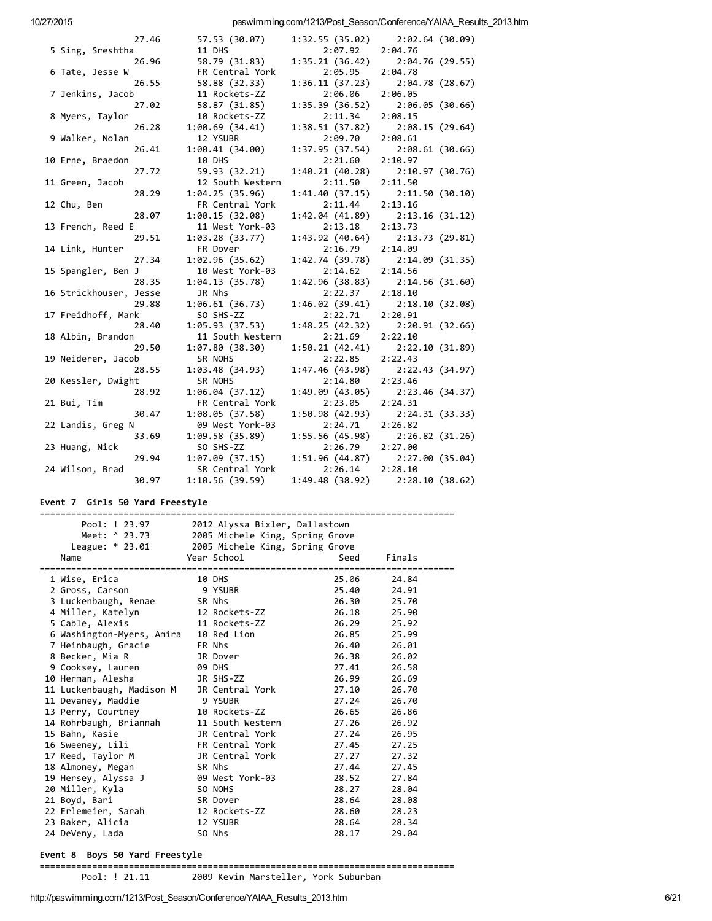| 27.46                  | 57.53 (30.07)    |                 | $1:32.55(35.02)$ $2:02.64(30.09)$   |
|------------------------|------------------|-----------------|-------------------------------------|
| 5 Sing, Sreshtha       | 11 DHS           | 2:07.92         | 2:04.76                             |
| 26.96                  | 58.79 (31.83)    | 1:35.21(36.42)  | 2:04.76 (29.55)                     |
| 6 Tate, Jesse W        | FR Central York  | 2:05.95         | 2:04.78                             |
| 26.55                  | 58.88 (32.33)    | 1:36.11(37.23)  | 2:04.78 (28.67)                     |
| 7 Jenkins, Jacob       | 11 Rockets-ZZ    | 2:06.06         | 2:06.05                             |
| 27.02                  | 58.87 (31.85)    | 1:35.39 (36.52) | 2:06.05 (30.66)                     |
| 8 Myers, Taylor        | 10 Rockets-ZZ    | 2:11.34         | 2:08.15                             |
| 26.28                  | 1:00.69(34.41)   | 1:38.51(37.82)  | 2:08.15 (29.64)                     |
| 9 Walker, Nolan        | 12 YSUBR         | 2:09.70         | 2:08.61                             |
| 26.41                  | 1:00.41(34.00)   | 1:37.95(37.54)  | 2:08.61 (30.66)                     |
| 10 Erne, Braedon       | 10 DHS           | 2:21.60         | 2:10.97                             |
| 27.72                  | 59.93 (32.21)    |                 | 1:40.21 (40.28) 2:10.97 (30.76)     |
| 11 Green, Jacob        | 12 South Western | 2:11.50         | 2:11.50                             |
| 28.29                  | 1:04.25(35.96)   | 1:41.40(37.15)  | 2:11.50 (30.10)                     |
| 12 Chu, Ben            | FR Central York  | 2:11.44         | 2:13.16                             |
| 28.07                  | 1:00.15(32.08)   |                 | $1:42.04$ (41.89) $2:13.16$ (31.12) |
| 13 French, Reed E      | 11 West York-03  | 2:13.18         | 2:13.73                             |
| 29.51                  | 1:03.28(33.77)   |                 | $1:43.92$ (40.64) $2:13.73$ (29.81) |
| 14 Link, Hunter        | FR Dover         | 2:16.79         | 2:14.09                             |
| 27.34                  | 1:02.96(35.62)   | 1:42.74(39.78)  | 2:14.09 (31.35)                     |
| 15 Spangler, Ben J     | 10 West York-03  | 2:14.62         | 2:14.56                             |
| 28.35                  | 1:04.13(35.78)   | 1:42.96 (38.83) | 2:14.56 (31.60)                     |
| 16 Strickhouser, Jesse | JR Nhs           | 2:22.37         | 2:18.10                             |
| 29.88                  | 1:06.61(36.73)   | 1:46.02(39.41)  | 2:18.10 (32.08)                     |
| 17 Freidhoff, Mark     | SO SHS-ZZ        | 2:22.71         | 2:20.91                             |
| 28.40                  | 1:05.93(37.53)   | 1:48.25(42.32)  | 2:20.91 (32.66)                     |
| 18 Albin, Brandon      | 11 South Western | 2:21.69         | 2:22.10                             |
| 29.50                  | 1:07.80(38.30)   | 1:50.21(42.41)  | 2:22.10 (31.89)                     |
| 19 Neiderer, Jacob     | SR NOHS          | 2:22.85         | 2:22.43                             |
| 28.55                  | 1:03.48(34.93)   | 1:47.46 (43.98) | 2:22.43 (34.97)                     |
| 20 Kessler, Dwight     | SR NOHS          | 2:14.80         | 2:23.46                             |
| 28.92                  | 1:06.04(37.12)   | 1:49.09 (43.05) | 2:23.46 (34.37)                     |
| 21 Bui, Tim            | FR Central York  | 2:23.05         | 2:24.31                             |
| 30.47                  | 1:08.05(37.58)   | 1:50.98(42.93)  | 2:24.31 (33.33)                     |
| 22 Landis, Greg N      | 09 West York-03  | 2:24.71         | 2:26.82                             |
| 33.69                  | 1:09.58(35.89)   | 1:55.56 (45.98) | 2:26.82 (31.26)                     |
| 23 Huang, Nick         | SO SHS-ZZ        | 2:26.79         | 2:27.00                             |
| 29.94                  | 1:07.09(37.15)   |                 | $1:51.96(44.87)$ $2:27.00(35.04)$   |
| 24 Wilson, Brad        | SR Central York  | 2:26.14         | 2:28.10                             |
| 30.97                  | 1:10.56(39.59)   | 1:49.48 (38.92) | 2:28.10 (38.62)                     |
|                        |                  |                 |                                     |

## Event 7 Girls 50 Yard Freestyle

| Pool: ! 23.97<br>2012 Alyssa Bixler, Dallastown |                           |  |                                 |       |        |
|-------------------------------------------------|---------------------------|--|---------------------------------|-------|--------|
|                                                 | Meet: ^ 23.73             |  | 2005 Michele King, Spring Grove |       |        |
|                                                 | League: * 23.01           |  | 2005 Michele King, Spring Grove |       |        |
|                                                 | Name                      |  | Year School                     | Seed  | Finals |
|                                                 |                           |  |                                 |       |        |
|                                                 | 1 Wise, Erica             |  | 10 DHS                          | 25.06 | 24.84  |
|                                                 | 2 Gross, Carson           |  | 9 YSUBR                         | 25.40 | 24.91  |
|                                                 | 3 Luckenbaugh, Renae      |  | SR Nhs                          | 26.30 | 25.70  |
|                                                 | 4 Miller, Katelyn         |  | 12 Rockets-ZZ                   | 26.18 | 25.90  |
|                                                 | 5 Cable, Alexis           |  | 11 Rockets-ZZ                   | 26.29 | 25.92  |
|                                                 | 6 Washington-Myers, Amira |  | 10 Red Lion                     | 26.85 | 25.99  |
|                                                 | 7 Heinbaugh, Gracie       |  | FR Nhs                          | 26.40 | 26.01  |
|                                                 | 8 Becker, Mia R           |  | JR Dover                        | 26.38 | 26.02  |
|                                                 | 9 Cooksey, Lauren         |  | <b>09 DHS</b>                   | 27.41 | 26.58  |
|                                                 | 10 Herman, Alesha         |  | JR SHS-ZZ                       | 26.99 | 26.69  |
|                                                 | 11 Luckenbaugh, Madison M |  | JR Central York                 | 27.10 | 26.70  |
|                                                 | 11 Devaney, Maddie        |  | 9 YSUBR                         | 27.24 | 26.70  |
|                                                 | 13 Perry, Courtney        |  | 10 Rockets-ZZ                   | 26.65 | 26.86  |
|                                                 | 14 Rohrbaugh, Briannah    |  | 11 South Western                | 27.26 | 26.92  |
|                                                 | 15 Bahn, Kasie            |  | JR Central York                 | 27.24 | 26.95  |
|                                                 | 16 Sweeney, Lili          |  | FR Central York                 | 27.45 | 27.25  |
|                                                 | 17 Reed, Taylor M         |  | JR Central York                 | 27.27 | 27.32  |
|                                                 | 18 Almoney, Megan         |  | SR Nhs                          | 27.44 | 27.45  |
|                                                 | 19 Hersey, Alyssa J       |  | 09 West York-03                 | 28.52 | 27.84  |
|                                                 | 20 Miller, Kyla           |  | SO NOHS                         | 28.27 | 28.04  |
|                                                 | 21 Boyd, Bari             |  | SR Dover                        | 28.64 | 28.08  |
|                                                 | 22 Erlemeier, Sarah       |  | 12 Rockets-ZZ                   | 28.60 | 28.23  |
|                                                 | 23 Baker, Alicia          |  | 12 YSUBR                        | 28.64 | 28.34  |
|                                                 | 24 DeVeny, Lada           |  | SO Nhs                          | 28.17 | 29.04  |

## Event 8 Boys 50 Yard Freestyle

===============================================================================

Pool: ! 21.11 2009 Kevin Marsteller, York Suburban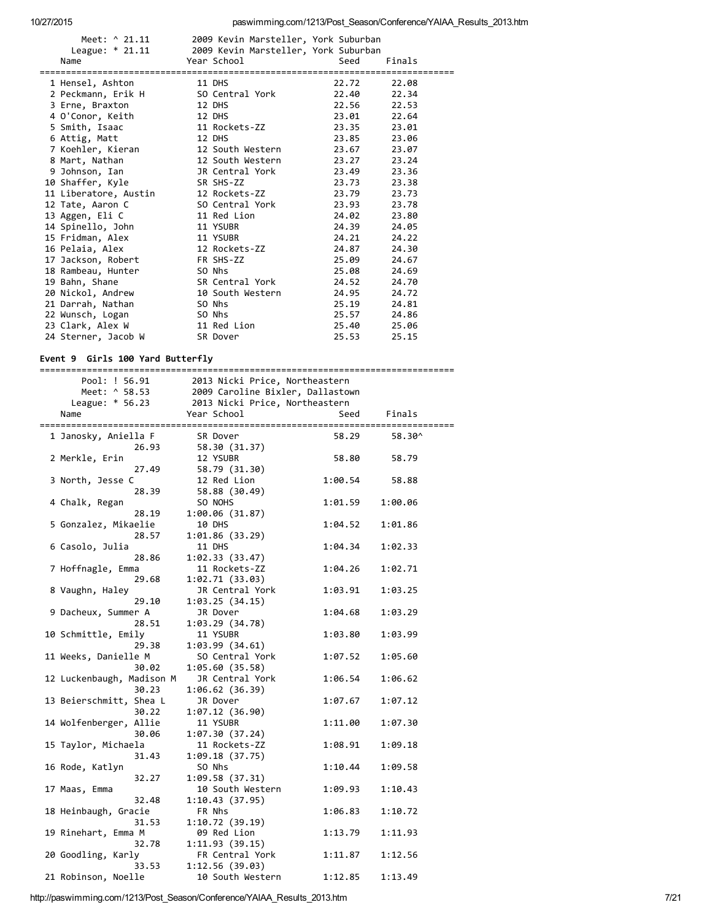| Meet: ^ 21.11<br>League: $*$ 21.11 | 2009 Kevin Marsteller, York Suburban<br>2009 Kevin Marsteller, York Suburban |       |        |
|------------------------------------|------------------------------------------------------------------------------|-------|--------|
| Name                               | Year School                                                                  | Seed  | Finals |
|                                    |                                                                              |       |        |
| 1 Hensel, Ashton                   | 11 DHS                                                                       | 22.72 | 22.08  |
| 2 Peckmann, Erik H                 | SO Central York                                                              | 22.40 | 22.34  |
| 3 Erne, Braxton                    | 12 DHS                                                                       | 22.56 | 22.53  |
| 4 O'Conor, Keith                   | 12 DHS                                                                       | 23.01 | 22.64  |
| 5 Smith, Isaac                     | 11 Rockets-ZZ                                                                | 23.35 | 23.01  |
| 6 Attig, Matt                      | 12 DHS                                                                       | 23.85 | 23.06  |
| 7 Koehler, Kieran                  | 12 South Western                                                             | 23.67 | 23.07  |
| 8 Mart, Nathan                     | 12 South Western                                                             | 23.27 | 23.24  |
| 9 Johnson, Ian                     | JR Central York                                                              | 23.49 | 23.36  |
| 10 Shaffer, Kyle                   | SR SHS-ZZ                                                                    | 23.73 | 23.38  |
| 11 Liberatore, Austin              | 12 Rockets-ZZ                                                                | 23.79 | 23.73  |
| 12 Tate, Aaron C                   | SO Central York                                                              | 23.93 | 23.78  |
| 13 Aggen, Eli C                    | 11 Red Lion                                                                  | 24.02 | 23.80  |
| 14 Spinello, John                  | 11 YSUBR                                                                     | 24.39 | 24.05  |
| 15 Fridman, Alex                   | 11 YSUBR                                                                     | 24.21 | 24.22  |
| 16 Pelaia, Alex                    | 12 Rockets-ZZ                                                                | 24.87 | 24.30  |
| 17 Jackson, Robert                 | FR SHS-ZZ                                                                    | 25.09 | 24.67  |
| 18 Rambeau, Hunter                 | SO Nhs                                                                       | 25.08 | 24.69  |
| 19 Bahn, Shane                     | SR Central York                                                              | 24.52 | 24.70  |
| 20 Nickol, Andrew                  | 10 South Western                                                             | 24.95 | 24.72  |
| 21 Darrah, Nathan                  | SO Nhs                                                                       | 25.19 | 24.81  |
| 22 Wunsch, Logan                   | SO Nhs                                                                       | 25.57 | 24.86  |
| 23 Clark, Alex W                   | 11 Red Lion                                                                  | 25.40 | 25.06  |
| 24 Sterner, Jacob W                | SR Dover                                                                     | 25.53 | 25.15  |

# Event 9 Girls 100 Yard Butterfly

|                                                   |                                                                                                      | 91.19 100 .did bacco19 |         |  |  |  |
|---------------------------------------------------|------------------------------------------------------------------------------------------------------|------------------------|---------|--|--|--|
| Pool: ! 56.91<br>Meet: ^ 58.53<br>League: * 56.23 | 2013 Nicki Price, Northeastern<br>2009 Caroline Bixler, Dallastown<br>2013 Nicki Price, Northeastern |                        |         |  |  |  |
| Name                                              | Year School                                                                                          | Seed                   | Finals  |  |  |  |
| 1 Janosky, Aniella F<br>26.93                     | SR Dover                                                                                             | 58.29                  | 58.30^  |  |  |  |
| 2 Merkle, Erin<br>27.49                           | 58.30 (31.37)<br>12 YSUBR<br>58.79 (31.30)                                                           | 58.80                  | 58.79   |  |  |  |
| 3 North, Jesse C<br>28.39                         | 12 Red Lion<br>58.88 (30.49)                                                                         | 1:00.54                | 58.88   |  |  |  |
| 4 Chalk, Regan<br>28.19                           | SO NOHS<br>1:00.06 (31.87)                                                                           | 1:01.59                | 1:00.06 |  |  |  |
| 5 Gonzalez, Mikaelie<br>28.57                     | 10 DHS<br>1:01.86(33.29)                                                                             | 1:04.52                | 1:01.86 |  |  |  |
| 6 Casolo, Julia<br>28.86                          | 11 DHS<br>1:02.33(33.47)                                                                             | 1:04.34                | 1:02.33 |  |  |  |
| 7 Hoffnagle, Emma<br>29.68                        | 11 Rockets-ZZ<br>1:02.71 (33.03)                                                                     | 1:04.26                | 1:02.71 |  |  |  |
| 8 Vaughn, Haley<br>29.10                          | JR Central York<br>1:03.25(34.15)                                                                    | 1:03.91                | 1:03.25 |  |  |  |
| 9 Dacheux, Summer A<br>28.51                      | JR Dover<br>1:03.29(34.78)                                                                           | 1:04.68                | 1:03.29 |  |  |  |
| 10 Schmittle, Emily<br>29.38                      | 11 YSUBR<br>1:03.99(34.61)                                                                           | 1:03.80                | 1:03.99 |  |  |  |
| 11 Weeks, Danielle M<br>30.02                     | SO Central York<br>1:05.60(35.58)                                                                    | 1:07.52                | 1:05.60 |  |  |  |
| 12 Luckenbaugh, Madison M<br>30.23                | JR Central York<br>1:06.62 (36.39)                                                                   | 1:06.54                | 1:06.62 |  |  |  |
| 13 Beierschmitt, Shea L<br>30.22                  | JR Dover<br>1:07.12 (36.90)                                                                          | 1:07.67                | 1:07.12 |  |  |  |
| 14 Wolfenberger, Allie<br>30.06                   | 11 YSUBR<br>1:07.30(37.24)                                                                           | 1:11.00                | 1:07.30 |  |  |  |
| 15 Taylor, Michaela<br>31.43                      | 11 Rockets-ZZ<br>1:09.18(37.75)                                                                      | 1:08.91                | 1:09.18 |  |  |  |
| 16 Rode, Katlyn<br>32.27                          | SO Nhs<br>1:09.58(37.31)                                                                             | 1:10.44                | 1:09.58 |  |  |  |
| 17 Maas, Emma<br>32.48                            | 10 South Western<br>1:10.43(37.95)                                                                   | 1:09.93                | 1:10.43 |  |  |  |
| 18 Heinbaugh, Gracie<br>31.53                     | FR Nhs<br>1:10.72(39.19)                                                                             | 1:06.83                | 1:10.72 |  |  |  |
| 19 Rinehart, Emma M<br>32.78                      | 09 Red Lion<br>1:11.93(39.15)                                                                        | 1:13.79                | 1:11.93 |  |  |  |
| 20 Goodling, Karly<br>33.53                       | FR Central York<br>1:12.56(39.03)                                                                    | 1:11.87                | 1:12.56 |  |  |  |
| 21 Robinson, Noelle                               | 10 South Western                                                                                     | 1:12.85                | 1:13.49 |  |  |  |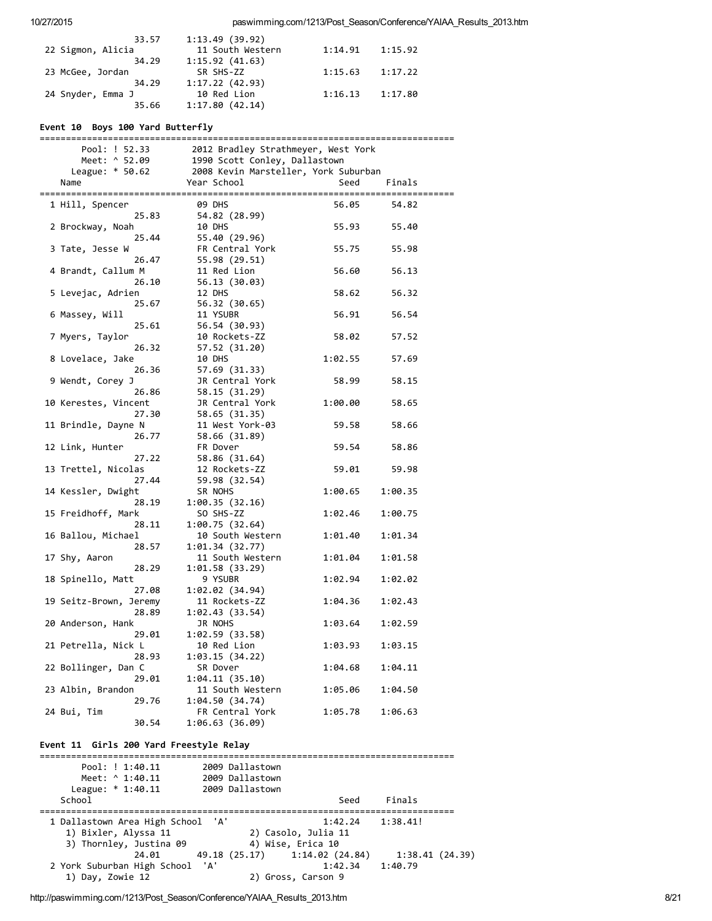| 33.57             | 1:13.49(39.92)   |         |         |  |
|-------------------|------------------|---------|---------|--|
| 22 Sigmon, Alicia | 11 South Western | 1:14.91 | 1:15.92 |  |
| 34.29             | 1:15.92(41.63)   |         |         |  |
| 23 McGee, Jordan  | SR SHS-ZZ        | 1:15.63 | 1:17.22 |  |
| 34.29             | 1:17.22(42.93)   |         |         |  |
| 24 Snyder, Emma J | 10 Red Lion      | 1:16.13 | 1:17.80 |  |
| 35.66             | 1:17.80(42.14)   |         |         |  |

## Event 10 Boys 100 Yard Butterfly

| ========               |                                      |         |         |
|------------------------|--------------------------------------|---------|---------|
| Pool: ! 52.33          | 2012 Bradley Strathmeyer, West York  |         |         |
| Meet: ^ 52.09          | 1990 Scott Conley, Dallastown        |         |         |
| League: $* 50.62$      | 2008 Kevin Marsteller, York Suburban |         |         |
| Name                   | Year School                          | Seed    | Finals  |
|                        |                                      |         |         |
| 1 Hill, Spencer        | <b>09 DHS</b>                        | 56.05   | 54.82   |
| 25.83                  | 54.82 (28.99)                        |         |         |
| 2 Brockway, Noah       | 10 DHS                               | 55.93   | 55.40   |
| 25.44                  | 55.40 (29.96)                        |         |         |
| 3 Tate, Jesse W        | FR Central York                      | 55.75   | 55.98   |
| 26.47                  | 55.98 (29.51)                        |         |         |
| 4 Brandt, Callum M     | 11 Red Lion                          | 56.60   | 56.13   |
| 26.10                  | 56.13 (30.03)                        |         |         |
|                        |                                      | 58.62   | 56.32   |
| 5 Levejac, Adrien      | 12 DHS                               |         |         |
| 25.67                  | 56.32 (30.65)                        |         |         |
| 6 Massey, Will         | 11 YSUBR                             | 56.91   | 56.54   |
| 25.61                  | 56.54 (30.93)                        |         |         |
| 7 Myers, Taylor        | 10 Rockets-ZZ                        | 58.02   | 57.52   |
| 26.32                  | 57.52 (31.20)                        |         |         |
| 8 Lovelace, Jake       | 10 DHS                               | 1:02.55 | 57.69   |
| 26.36                  | 57.69 (31.33)                        |         |         |
| 9 Wendt, Corey J       | JR Central York                      | 58.99   | 58.15   |
| 26.86                  | 58.15 (31.29)                        |         |         |
| 10 Kerestes, Vincent   | JR Central York                      | 1:00.00 | 58.65   |
| 27.30                  | 58.65 (31.35)                        |         |         |
| 11 Brindle, Dayne N    | 11 West York-03                      | 59.58   | 58.66   |
| 26.77                  | 58.66 (31.89)                        |         |         |
| 12 Link, Hunter        | FR Dover                             | 59.54   | 58.86   |
| 27.22                  | 58.86 (31.64)                        |         |         |
| 13 Trettel, Nicolas    | 12 Rockets-ZZ                        | 59.01   | 59.98   |
| 27.44                  | 59.98 (32.54)                        |         |         |
| 14 Kessler, Dwight     | SR NOHS                              | 1:00.65 | 1:00.35 |
| 28.19                  | 1:00.35(32.16)                       |         |         |
| 15 Freidhoff, Mark     | SO SHS-ZZ                            | 1:02.46 | 1:00.75 |
| 28.11                  | 1:00.75(32.64)                       |         |         |
| 16 Ballou, Michael     | 10 South Western                     | 1:01.40 | 1:01.34 |
| 28.57                  | 1:01.34(32.77)                       |         |         |
| 17 Shy, Aaron          | 11 South Western                     | 1:01.04 | 1:01.58 |
| 28.29                  |                                      |         |         |
|                        | 1:01.58(33.29)                       |         |         |
| 18 Spinello, Matt      | 9 YSUBR                              | 1:02.94 | 1:02.02 |
| 27.08                  | 1:02.02(34.94)                       |         |         |
| 19 Seitz-Brown, Jeremy | 11 Rockets-ZZ                        | 1:04.36 | 1:02.43 |
| 28.89                  | 1:02.43(33.54)                       |         |         |
| 20 Anderson, Hank      | JR NOHS                              | 1:03.64 | 1:02.59 |
| 29.01                  | 1:02.59(33.58)                       |         |         |
| 21 Petrella, Nick L    | 10 Red Lion                          | 1:03.93 | 1:03.15 |
| 28.93                  | 1:03.15(34.22)                       |         |         |
| 22 Bollinger, Dan C    | SR Dover                             | 1:04.68 | 1:04.11 |
| 29.01                  | 1:04.11(35.10)                       |         |         |
| 23 Albin, Brandon      | 11 South Western                     | 1:05.06 | 1:04.50 |
| 29.76                  | 1:04.50 (34.74)                      |         |         |
| 24 Bui, Tim            | FR Central York                      | 1:05.78 | 1:06.63 |
| 30.54                  | 1:06.63 (36.09)                      |         |         |

### Event 11 Girls 200 Yard Freestyle Relay

=============================================================================== Pool: ! 1:40.11 2009 Dallastown Meet: ^ 1:40.11 2009 Dallastown League: \* 1:40.11 2009 Dallastown School Seed Finals =============================================================================== 1 Dallastown Area High School 'A' 1:42.24 1:38.41! 1) Bixler, Alyssa 11 2) Casolo, Julia 11 3) Thornley, Justina 09 (4) Wise, Erica 10 24.01 49.18 (25.17) 1:14.02 (24.84) 1:38.41 (24.39)<br>
High School 'A' 1:42.34 1:40.79 2 York Suburban High School 'A'<br>1) Day, Zowie 12 2) Gross, Carson 9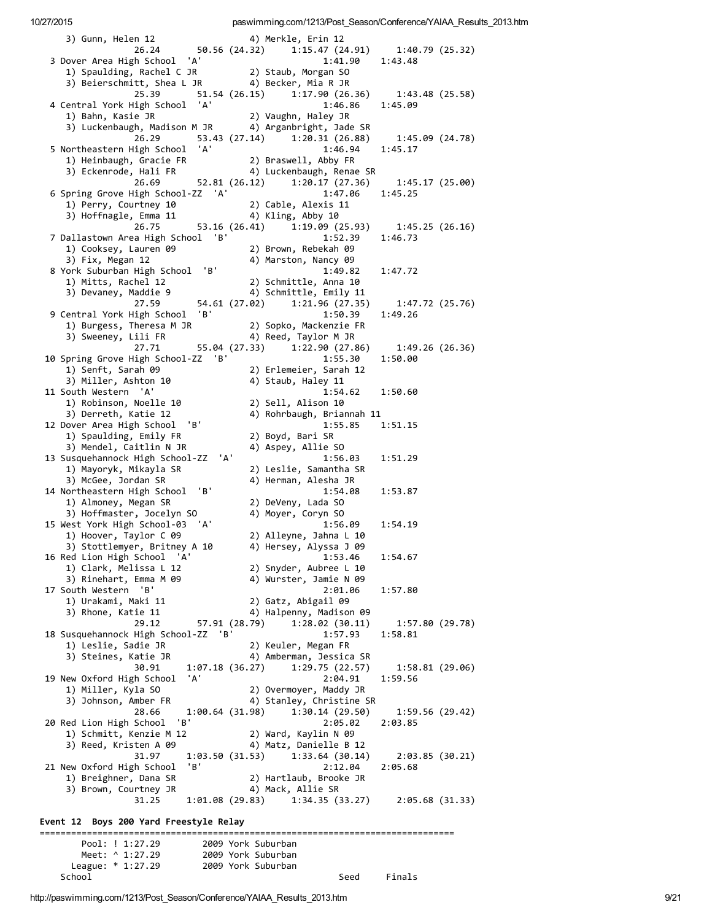| 3) Gunn, Helen 12                                    |                    |     | 4) Merkle, Erin 12                                    |                 |  |
|------------------------------------------------------|--------------------|-----|-------------------------------------------------------|-----------------|--|
|                                                      |                    |     | 26.24 50.56 (24.32) 1:15.47 (24.91) 1:40.79 (25.32)   |                 |  |
| 3 Dover Area High School 'A'                         |                    |     | 1:41.90                                               | 1:43.48         |  |
| 1) Spaulding, Rachel C JR                            |                    |     | 2) Staub, Morgan SO                                   |                 |  |
| 3) Beierschmitt, Shea L JR (4) Becker, Mia R JR      |                    |     |                                                       |                 |  |
| 25.39                                                |                    |     | 51.54 (26.15) 1:17.90 (26.36)                         | 1:43.48(25.58)  |  |
| 4 Central York High School 'A'                       |                    |     | 1:46.86                                               | 1:45.09         |  |
| 1) Bahn, Kasie JR                                    |                    |     | 2) Vaughn, Haley JR                                   |                 |  |
| 3) Luckenbaugh, Madison M JR 4) Arganbright, Jade SR |                    |     |                                                       |                 |  |
| 26.29                                                |                    |     | 53.43 (27.14) 1:20.31 (26.88)                         | 1:45.09(24.78)  |  |
| 5 Northeastern High School 'A'                       |                    |     | 1:46.94                                               | 1:45.17         |  |
| 1) Heinbaugh, Gracie FR                              |                    |     | 2) Braswell, Abby FR                                  |                 |  |
| 3) Eckenrode, Hali FR                                |                    |     | 4) Luckenbaugh, Renae SR                              |                 |  |
| 26.69                                                | 52.81 (26.12)      |     | 1:20.17(27.36)                                        | 1:45.17(25.00)  |  |
| 6 Spring Grove High School-ZZ 'A'                    |                    |     | 1:47.06                                               | 1:45.25         |  |
| 1) Perry, Courtney 10                                |                    |     | 2) Cable, Alexis 11                                   |                 |  |
| 3) Hoffnagle, Emma 11                                |                    |     |                                                       |                 |  |
|                                                      |                    |     | 4) Kling, Abby 10                                     |                 |  |
| 26.75                                                |                    |     | 53.16 (26.41) 1:19.09 (25.93)                         | 1:45.25(26.16)  |  |
| 7 Dallastown Area High School 'B'                    |                    |     | 1:52.39                                               | 1:46.73         |  |
| 1) Cooksey, Lauren 09                                |                    |     | 2) Brown, Rebekah 09                                  |                 |  |
| 3) Fix, Megan 12                                     |                    |     | 4) Marston, Nancy 09                                  |                 |  |
| 8 York Suburban High School 'B'                      |                    |     | 1:49.82                                               | 1:47.72         |  |
| 1) Mitts, Rachel 12                                  |                    |     | 2) Schmittle, Anna 10                                 |                 |  |
| 3) Devaney, Maddie 9                                 |                    |     | 4) Schmittle, Emily 11                                |                 |  |
| 27.59                                                |                    |     | 54.61 (27.02) 1:21.96 (27.35)                         | 1:47.72 (25.76) |  |
| 9 Central York High School                           | 'B'                |     | 1:50.39                                               | 1:49.26         |  |
| 1) Burgess, Theresa M JR                             |                    |     | 2) Sopko, Mackenzie FR                                |                 |  |
| 3) Sweeney, Lili FR                                  |                    |     | 4) Reed, Taylor M JR                                  |                 |  |
| 27.71                                                |                    |     | 55.04 (27.33) 1:22.90 (27.86)                         | 1:49.26(26.36)  |  |
| 10 Spring Grove High School-ZZ 'B'                   |                    |     | 1:55.30                                               | 1:50.00         |  |
| 1) Senft, Sarah 09                                   |                    |     | 2) Erlemeier, Sarah 12                                |                 |  |
|                                                      |                    |     | 4) Staub, Haley 11                                    |                 |  |
| 3) Miller, Ashton 10                                 |                    |     |                                                       |                 |  |
| 11 South Western 'A'                                 |                    |     | 1:54.62                                               | 1:50.60         |  |
| 1) Robinson, Noelle 10                               |                    |     | 2) Sell, Alison 10                                    |                 |  |
| 3) Derreth, Katie 12                                 |                    |     | 4) Rohrbaugh, Briannah 11                             |                 |  |
| 12 Dover Area High School 'B'                        |                    |     | 1:55.85                                               | 1:51.15         |  |
| 1) Spaulding, Emily FR                               |                    |     | 2) Boyd, Bari SR                                      |                 |  |
| 3) Mendel, Caitlin N JR                              |                    |     | 4) Aspey, Allie SO                                    |                 |  |
| 13 Susquehannock High School-ZZ                      |                    | 'A' | 1:56.03                                               | 1:51.29         |  |
| 1) Mayoryk, Mikayla SR                               |                    |     | 2) Leslie, Samantha SR                                |                 |  |
| 3) McGee, Jordan SR                                  |                    |     | 4) Herman, Alesha JR                                  |                 |  |
| 14 Northeastern High School                          | 'В'                |     | 1:54.08                                               | 1:53.87         |  |
| 1) Almoney, Megan SR                                 |                    |     | 2) DeVeny, Lada SO                                    |                 |  |
| 3) Hoffmaster, Jocelyn SO                            |                    |     | 4) Moyer, Coryn SO                                    |                 |  |
| 15 West York High School-03 'A'                      |                    |     | 1:56.09                                               | 1:54.19         |  |
| 1) Hoover, Taylor C 09                               |                    |     | 2) Alleyne, Jahna L 10                                |                 |  |
|                                                      |                    |     |                                                       |                 |  |
| 3) Stottlemyer, Britney A 10                         |                    |     | 4) Hersey, Alyssa J 09                                |                 |  |
| 16 Red Lion High School 'A'                          |                    |     | 1:53.46                                               | 1:54.67         |  |
| 1) Clark, Melissa L 12                               |                    |     | 2) Snyder, Aubree L 10                                |                 |  |
| 3) Rinehart, Emma M 09                               |                    |     | 4) Wurster, Jamie N 09                                |                 |  |
| 17 South Western 'B'                                 |                    |     | 2:01.06                                               | 1:57.80         |  |
| 1) Urakami, Maki 11                                  |                    |     | 2) Gatz, Abigail 09                                   |                 |  |
| 3) Rhone, Katie 11                                   |                    |     | 4) Halpenny, Madison 09                               |                 |  |
| 29.12                                                | 57.91 (28.79)      |     | 1:28.02 (30.11)                                       | 1:57.80 (29.78) |  |
| 18 Susquehannock High School-ZZ 'B'                  |                    |     | 1:57.93                                               | 1:58.81         |  |
| 1) Leslie, Sadie JR                                  |                    |     | 2) Keuler, Megan FR                                   |                 |  |
| 3) Steines, Katie JR                                 |                    |     | 4) Amberman, Jessica SR                               |                 |  |
| 30.91                                                | 1:07.18 (36.27)    |     | 1:29.75 (22.57)                                       | 1:58.81(29.06)  |  |
| 19 New Oxford High School                            | 'A'                |     | 2:04.91                                               | 1:59.56         |  |
| 1) Miller, Kyla SO                                   |                    |     | 2) Overmoyer, Maddy JR                                |                 |  |
| 3) Johnson, Amber FR                                 |                    |     | 4) Stanley, Christine SR                              |                 |  |
| 28.66                                                | 1:00.64(31.98)     |     | 1:30.14(29.50)                                        | 1:59.56(29.42)  |  |
| 'В'                                                  |                    |     |                                                       |                 |  |
| 20 Red Lion High School                              |                    |     | 2:05.02                                               | 2:03.85         |  |
| 1) Schmitt, Kenzie M 12                              |                    |     | 2) Ward, Kaylin N 09                                  |                 |  |
| 3) Reed, Kristen A 09                                |                    |     | 4) Matz, Danielle B 12                                |                 |  |
| 31.97                                                | 1:03.50(31.53)     |     | 1:33.64(30.14)                                        | 2:03.85(30.21)  |  |
| 21 New Oxford High School                            | 'B'                |     | 2:12.04                                               | 2:05.68         |  |
| 1) Breighner, Dana SR                                |                    |     | 2) Hartlaub, Brooke JR                                |                 |  |
| 3) Brown, Courtney JR                                |                    |     | 4) Mack, Allie SR                                     |                 |  |
| 31.25                                                |                    |     | $1:01.08$ (29.83) $1:34.35$ (33.27) $2:05.68$ (31.33) |                 |  |
|                                                      |                    |     |                                                       |                 |  |
| Event 12 Boys 200 Yard Freestyle Relay               |                    |     |                                                       |                 |  |
|                                                      |                    |     |                                                       |                 |  |
| Pool: ! 1:27.29                                      |                    |     | 2009 York Suburban                                    |                 |  |
| Meet: ^ 1:27.29                                      |                    |     | 2009 York Suburban                                    |                 |  |
| League: * 1:27.29                                    | 2009 York Suburban |     |                                                       |                 |  |
| School                                               |                    |     | Seed                                                  | Finals          |  |
|                                                      |                    |     |                                                       |                 |  |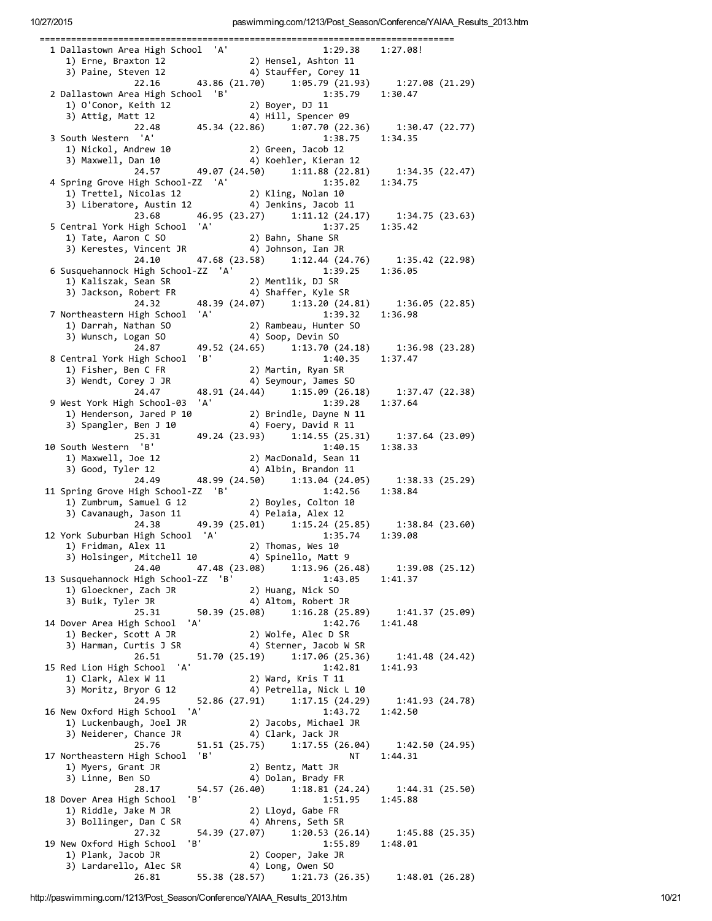| 1 Dallastown Area High School 'A'                                                                                                                               |     |                                                   |                 |                |
|-----------------------------------------------------------------------------------------------------------------------------------------------------------------|-----|---------------------------------------------------|-----------------|----------------|
|                                                                                                                                                                 |     | 1:29.38                                           | 1:27.08!        |                |
| 1) Erne, Braxton 12                                                                                                                                             |     | 2) Hensel, Ashton 11                              |                 |                |
| 3) Paine, Steven 12                                                                                                                                             |     | 4) Stauffer, Corey 11                             |                 |                |
|                                                                                                                                                                 |     |                                                   |                 |                |
| 22.16                                                                                                                                                           |     | 43.86 (21.70) 1:05.79 (21.93) 1:27.08 (21.29)     |                 |                |
| 2 Dallastown Area High School 'B'<br>$\begin{array}{ll}\n\text{lalastown} & \text{m} & \text{m} \\ \text{l)} & \text{O'Conor, Keith}} & \text{12}\n\end{array}$ |     | 1:35.79                                           | 1:30.47         |                |
|                                                                                                                                                                 |     | 2) Boyer, DJ 11                                   |                 |                |
|                                                                                                                                                                 |     | 4) Hill, Spencer 09                               |                 |                |
| 22.48                                                                                                                                                           |     | 45.34 (22.86) 1:07.70 (22.36) 1:30.47 (22.77)     |                 |                |
|                                                                                                                                                                 |     |                                                   |                 |                |
| 3 South Western 'A'                                                                                                                                             |     | 1:38.75                                           | 1:34.35         |                |
| 1) Nickol, Andrew 10                                                                                                                                            |     | 2) Green, Jacob 12                                |                 |                |
| 3) Maxwell, Dan 10                                                                                                                                              |     | 4) Koehler, Kieran 12                             |                 |                |
| 24.57                                                                                                                                                           |     | 49.07 (24.50) 1:11.88 (22.81)                     | 1:34.35 (22.47) |                |
| 4 Spring Grove High School-ZZ 'A'                                                                                                                               |     | 1:35.02                                           | 1:34.75         |                |
|                                                                                                                                                                 |     |                                                   |                 |                |
| 1) Trettel, Nicolas 12                                                                                                                                          |     | 2) Kling, Nolan 10                                |                 |                |
| 3) Liberatore, Austin 12 (4) Jenkins, Jacob 11                                                                                                                  |     |                                                   |                 |                |
| 23.68                                                                                                                                                           |     | 46.95 (23.27) 1:11.12 (24.17)                     | 1:34.75 (23.63) |                |
| 5 Central York High School 'A'                                                                                                                                  |     | 1:37.25                                           | 1:35.42         |                |
|                                                                                                                                                                 |     | 2) Bahn, Shane SR                                 |                 |                |
| 1) Tate, Aaron C SO                                                                                                                                             |     |                                                   |                 |                |
| 3) Kerestes, Vincent JR (4) Johnson, Ian JR                                                                                                                     |     |                                                   |                 |                |
| 24.10                                                                                                                                                           |     | 47.68 (23.58) 1:12.44 (24.76) 1:35.42 (22.98)     |                 |                |
| 6 Susquehannock High School-ZZ 'A'                                                                                                                              |     | 1:39.25                                           | 1:36.05         |                |
| 1) Kaliszak, Sean SR                                                                                                                                            |     | 2) Mentlik, DJ SR                                 |                 |                |
| אנ טופסט, אב----טוג (3)<br>3) Jackson, Robert FR                                                                                                                |     |                                                   |                 |                |
|                                                                                                                                                                 |     | 4) Shaffer, Kyle SR                               |                 |                |
| 24.32                                                                                                                                                           |     | 48.39 (24.07) 1:13.20 (24.81) 1:36.05 (22.85)     |                 |                |
| 7 Northeastern High School 'A'                                                                                                                                  |     | 1:39.32                                           | 1:36.98         |                |
| 1) Darrah, Nathan SO                                                                                                                                            |     | 2) Rambeau, Hunter SO                             |                 |                |
| 3) Wunsch, Logan SO                                                                                                                                             |     | 4) Soop, Devin SO                                 |                 |                |
|                                                                                                                                                                 |     |                                                   |                 |                |
| 24.87                                                                                                                                                           |     | 49.52 (24.65) 1:13.70 (24.18) 1:36.98 (23.28)     |                 |                |
| 8 Central York High School 'B'                                                                                                                                  |     | 1:40.35                                           | 1:37.47         |                |
| 1) Fisher, Ben C FR                                                                                                                                             |     | 2) Martin, Ryan SR                                |                 |                |
| 3) Wendt, Corey J JR                                                                                                                                            |     | 4) Seymour, James SO                              |                 |                |
|                                                                                                                                                                 |     |                                                   |                 |                |
| 24.47                                                                                                                                                           |     | 48.91 (24.44) 1:15.09 (26.18) 1:37.47 (22.38)     |                 |                |
| 9 West York High School-03 'A'                                                                                                                                  |     | 1:39.28                                           | 1:37.64         |                |
|                                                                                                                                                                 |     |                                                   |                 |                |
| 1) Henderson, Jared P 10 (2) Brindle, Dayne N 11<br>3) Spangler. Ben J 10 (4) Foerv. David R 11<br>3) Spangler, Ben J 10                                        |     | 4) Foery, David R 11                              |                 |                |
| 25.31                                                                                                                                                           |     | 49.24 (23.93) 1:14.55 (25.31)                     | 1:37.64(23.09)  |                |
|                                                                                                                                                                 |     |                                                   |                 |                |
| 10 South Western 'B'                                                                                                                                            |     | 1:40.15                                           | 1:38.33         |                |
|                                                                                                                                                                 |     | 2) MacDonald, Sean 11                             |                 |                |
| 1) Maxwell, Joe 12<br>3) Good, Tyler 12                                                                                                                         |     | 4) Albin, Brandon 11                              |                 |                |
|                                                                                                                                                                 |     |                                                   |                 |                |
|                                                                                                                                                                 |     |                                                   |                 |                |
| 24.49                                                                                                                                                           |     | 48.99 (24.50) 1:13.04 (24.05)                     |                 | 1:38.33(25.29) |
| 11 Spring Grove High School-ZZ 'B'                                                                                                                              |     | 1:42.56                                           | 1:38.84         |                |
|                                                                                                                                                                 |     |                                                   |                 |                |
|                                                                                                                                                                 |     |                                                   |                 |                |
| 1) Zumbrum, Samuel G 12 (2) Boyles, Colton 10<br>3) Cavanaugh, Jason 11 (4) Pelaia, Alex 12                                                                     |     |                                                   |                 |                |
| 24.38                                                                                                                                                           |     | 49.39 (25.01) 1:15.24 (25.85)                     | 1:38.84(23.60)  |                |
|                                                                                                                                                                 |     | 1:35.74                                           | 1:39.08         |                |
| 1) Fridman, Alex 11                                                                                                                                             |     | 2) Thomas, Wes 10                                 |                 |                |
|                                                                                                                                                                 |     |                                                   |                 |                |
| 3) Holsinger, Mitchell 10 (4) Spinello, Matt 9                                                                                                                  |     |                                                   |                 |                |
|                                                                                                                                                                 |     | 24.40 47.48 (23.08) 1:13.96 (26.48)               | 1:39.08 (25.12) |                |
|                                                                                                                                                                 |     | 1:43.05                                           | 1:41.37         |                |
| 1) Gloeckner, Zach JR                                                                                                                                           |     | 2) Huang, Nick SO                                 |                 |                |
| 3) Buik, Tyler JR                                                                                                                                               |     | 4) Altom, Robert JR                               |                 |                |
| 25.31                                                                                                                                                           |     |                                                   |                 |                |
|                                                                                                                                                                 |     | 50.39 (25.08) 1:16.28 (25.89)                     | 1:41.37 (25.09) |                |
|                                                                                                                                                                 |     | 1:42.76                                           | 1:41.48         |                |
| 1) Becker, Scott A JR                                                                                                                                           |     | 2) Wolfe, Alec D SR                               |                 |                |
| 3) Harman, Curtis J SR (4) Sterner, Jacob W SR                                                                                                                  |     |                                                   |                 |                |
| 26.51                                                                                                                                                           |     |                                                   | 1:41.48(24.42)  |                |
|                                                                                                                                                                 |     | 51.70 (25.19) 1:17.06 (25.36)                     |                 |                |
| 12 York Suburban High School 'A'<br>13 Susquehannock High School-ZZ 'B'<br>14 Dover Area High School 'A'<br>15 Red Lion High School 'A'                         |     | 1:42.81                                           | 1:41.93         |                |
| 1) Clark, Alex W 11                                                                                                                                             |     | 2) Ward, Kris T 11                                |                 |                |
| 3) Moritz, Bryor G 12                                                                                                                                           |     | 4) Petrella, Nick L 10                            |                 |                |
| 24.95                                                                                                                                                           |     | 52.86 (27.91) 1:17.15 (24.29)                     |                 |                |
|                                                                                                                                                                 |     |                                                   | 1:41.93 (24.78) |                |
|                                                                                                                                                                 | 'A' | 1:43.72                                           | 1:42.50         |                |
| 1) Luckenbaugh, Joel JR                                                                                                                                         |     | 2) Jacobs, Michael JR                             |                 |                |
| 3) Neiderer, Chance JR                                                                                                                                          |     | 4) Clark, Jack JR                                 |                 |                |
| 25.76                                                                                                                                                           |     | 51.51 (25.75) 1:17.55 (26.04) 1:42.50 (24.95)     |                 |                |
|                                                                                                                                                                 |     | NT                                                |                 |                |
|                                                                                                                                                                 |     |                                                   | 1:44.31         |                |
| 1) Myers, Grant JR                                                                                                                                              |     | 2) Bentz, Matt JR                                 |                 |                |
| 16 New Oxford High School<br>17 Northeastern High School 'B'<br>3) Linne, Ben SO                                                                                |     | 4) Dolan, Brady FR                                |                 |                |
| 28.17                                                                                                                                                           |     | 54.57 (26.40) 1:18.81 (24.24) 1:44.31 (25.50)     |                 |                |
|                                                                                                                                                                 | 'B' |                                                   |                 |                |
| 18 Dover Area High School                                                                                                                                       |     | 1:51.95                                           | 1:45.88         |                |
| 1) Riddle, Jake M JR                                                                                                                                            |     | 2) Lloyd, Gabe FR                                 |                 |                |
| 3) Bollinger, Dan C SR                                                                                                                                          |     | 4) Ahrens, Seth SR                                |                 |                |
| 27.32                                                                                                                                                           |     | 54.39 (27.07) 1:20.53 (26.14)                     | 1:45.88 (25.35) |                |
|                                                                                                                                                                 |     |                                                   |                 |                |
| 19 New Oxford High School                                                                                                                                       | 'B' | 1:55.89                                           | 1:48.01         |                |
| 1) Plank, Jacob JR                                                                                                                                              |     | 2) Cooper, Jake JR                                |                 |                |
| 3) Lardarello, Alec SR<br>26.81                                                                                                                                 |     | 4) Long, Owen SO<br>55.38 (28.57) 1:21.73 (26.35) | 1:48.01(26.28)  |                |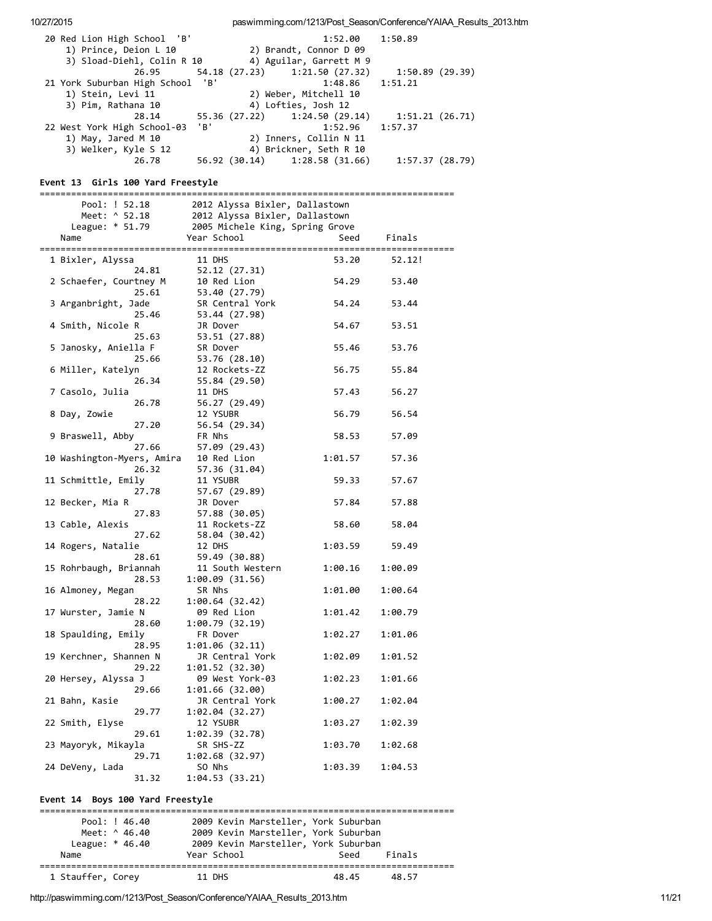10/27/2015 paswimming.com/1213/Post\_Season/Conference/YAIAA\_Results\_2013.htm 20 Red Lion High School 'B' 1:52.00 1:50.89 1) Prince, Deion L 10 2) Brandt, Connor D 09 3) Sload-Diehl, Colin R 10 4) Aguilar, Garrett M 9 26.95 54.18 (27.23) 1:21.50 (27.32) 1:50.89 (29.39) 21 York Suburban High School 'B' 1:48.86 1:51.21 1) Stein, Levi 11 2) Weber, Mitchell 10<br>3) Pim, Rathana 10 4) Lofties, Josh 12 3) Pima 10 4 Lofties, Josh 12<br>128.14 55.36 (27.22) 1:24.50 28.14 55.36 (27.22) 1:24.50 (29.14) 1:51.21 (26.71) 22 West York High School‐03 'B' 1:52.96 1:57.37 1) May, Jared M 10 2) Inners, Collin N 11 3) Welker, Kyle S 12 4) Brickner, Seth R 10 26.78 56.92 (30.14) 1:28.58 (31.66) 1:57.37 (28.79) Event 13 Girls 100 Yard Freestyle =============================================================================== Pool: ! 52.18 2012 Alyssa Bixler, Dallastown Meet: ^ 52.18 2012 Alyssa Bixler, Dallastown League: \* 51.79 2005 Michele King, Spring Grove Name Year School Seed Finals =============================================================================== 1 Bixler, Alyssa 11 DHS 53.20 52.12! 24.81 52.12 (27.31) 2 Schaefer, Courtney M 10 Red Lion 54.29 53.40 25.61 53.40 (27.79) 3 Arganbright, Jade SR Central York 54.24 53.44 25.46 53.44 (27.98) 4 Smith, Nicole R JR Dover 54.67 53.51 25.63 53.51 (27.88) 5 Janosky, Aniella F SR Dover 55.46 53.76 25.66 53.76 (28.10) 6 Miller, Katelyn 12 Rockets-ZZ 56.75 55.84<br>26.34 55.84 (29.50) 26.34 55.84 (29.50) 7 Casolo, Julia 11 DHS 57.43 56.27 26.78 56.27 (29.49) 8 Day, Zowie 12 YSUBR 56.79 56.54 27.20 56.54 (29.34) 9 Braswell, Abby FR Nhs 58.53 57.09<br>27.66 57.09 (29.43) 27.66 57.09 (29.43) 10 Washington-Myers, Amira 10 Red Lion 1:01.57 57.36 26.32 57.36 (31.04) 11 Schmittle, Emily 11 YSUBR 59.33 57.67<br>27.78 57.67 (29.89) 27.78 57.67 (29.89) 12 Becker, Mia R JR Dover 57.84 57.88 27.83 57.88 (30.05) 13 Cable, Alexis 11 Rockets-ZZ 58.60 58.04<br>27.62 58.04 (30.42) 27.62 58.04 (30.42) 14 Rogers, Natalie 12 DHS 1:03.59 59.49 28.61 59.49 (30.88) 15 Rohrbaugh, Briannah 11 South Western 1:00.16 1:00.09 28.53 1:00.09 (31.56) 16 Almoney, Megan SR Nhs 1:01.00 1:00.64 28.22 1:00.64 (32.42) 17 Wurster, Jamie N 09 Red Lion 1:01.42 1:00.79 28.60 1:00.79 (32.19) 18 Spaulding, Emily FR Dover 1:02.27 1:01.06<br>28.95 1:01.06 (32.11)  $2.91.06$  (32.11) 19 Kerchner, Shannen N JR Central York 1:02.09 1:01.52  $29.22$   $1:01.52$  (32.30) 20 Hersey, Alyssa J 09 West York‐03 1:02.23 1:01.66 29.66 1:01.66 (32.00) 21 Bahn, Kasie JR Central York 1:00.27 1:02.04

24 DeVeny, Lada SO Nhs 1:03.39 1:04.53 31.32 1:04.53 (33.21) Event 14 Boys 100 Yard Freestyle =============================================================================== Pool: ! 46.40 2009 Kevin Marsteller, York Suburban Meet: ^ 46.40 2009 Kevin Marsteller, York Suburban League: \* 46.40 2009 Kevin Marsteller, York Suburban

29.77 1:02.04 (32.27)

29.61 1:02.39 (32.78)

29.71 1:02.68 (32.97)

22 Smith, Elyse 12 YSUBR 1:03.27 1:02.39

23 Mayoryk, Mikayla SR SHS‐ZZ 1:03.70 1:02.68

Name **Manuel Seed School** Seed Finals =============================================================================== 1 Stauffer, Corey 11 DHS 48.45 48.57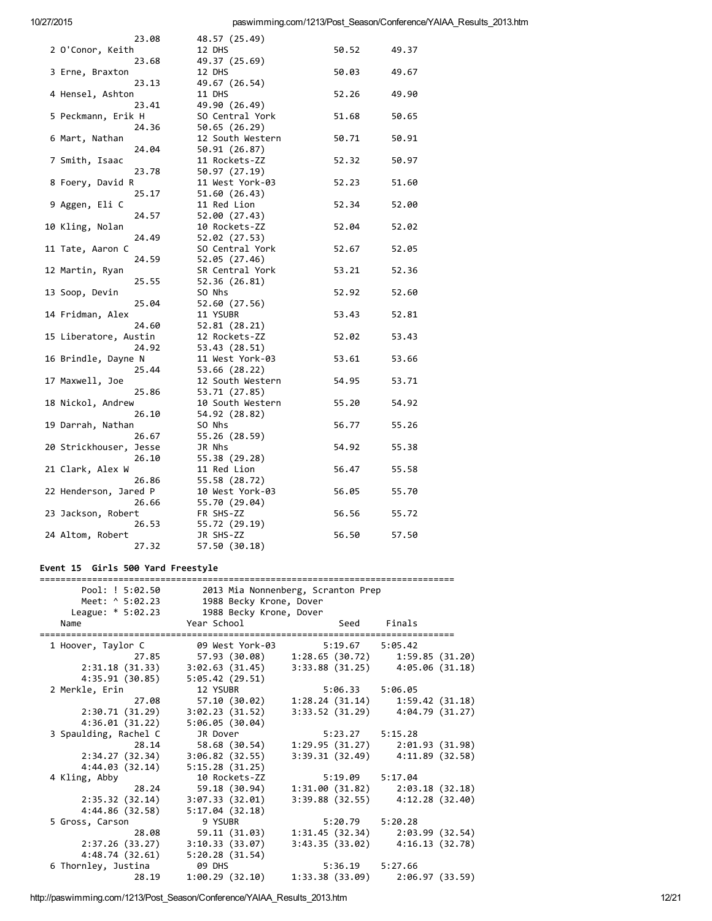| 23.08                  | 48.57 (25.49)    |       |       |
|------------------------|------------------|-------|-------|
| 2 O'Conor, Keith       | 12 DHS           | 50.52 | 49.37 |
| 23.68                  | 49.37 (25.69)    |       |       |
| 3 Erne, Braxton        | 12 DHS           | 50.03 | 49.67 |
| 23.13                  | 49.67 (26.54)    |       |       |
| 4 Hensel, Ashton       | 11 DHS           | 52.26 | 49.90 |
| 23.41                  | 49.90 (26.49)    |       |       |
| 5 Peckmann, Erik H     | SO Central York  | 51.68 | 50.65 |
| 24.36                  | 50.65 (26.29)    |       |       |
| 6 Mart, Nathan         | 12 South Western | 50.71 | 50.91 |
| 24.04                  | 50.91 (26.87)    |       |       |
| 7 Smith, Isaac         | 11 Rockets-ZZ    | 52.32 | 50.97 |
| 23.78                  | 50.97 (27.19)    |       |       |
| 8 Foery, David R       | 11 West York-03  | 52.23 | 51.60 |
| 25.17                  | 51.60 (26.43)    |       |       |
| 9 Aggen, Eli C         | 11 Red Lion      | 52.34 | 52.00 |
| 24.57                  | 52.00 (27.43)    |       |       |
| 10 Kling, Nolan        | 10 Rockets-ZZ    | 52.04 | 52.02 |
| 24.49                  | 52.02 (27.53)    |       |       |
| 11 Tate, Aaron C       | SO Central York  | 52.67 | 52.05 |
| 24.59                  | 52.05 (27.46)    |       |       |
| 12 Martin, Ryan        | SR Central York  | 53.21 | 52.36 |
| 25.55                  | 52.36 (26.81)    |       |       |
| 13 Soop, Devin         | SO Nhs           | 52.92 | 52.60 |
| 25.04                  | 52.60 (27.56)    |       |       |
| 14 Fridman, Alex       | 11 YSUBR         | 53.43 | 52.81 |
| 24.60                  | 52.81 (28.21)    |       |       |
| 15 Liberatore, Austin  | 12 Rockets-ZZ    | 52.02 | 53.43 |
| 24.92                  | 53.43 (28.51)    |       |       |
| 16 Brindle, Dayne N    | 11 West York-03  | 53.61 | 53.66 |
| 25.44                  | 53.66 (28.22)    |       |       |
| 17 Maxwell, Joe        | 12 South Western | 54.95 | 53.71 |
| 25.86                  | 53.71 (27.85)    |       |       |
| 18 Nickol, Andrew      | 10 South Western | 55.20 | 54.92 |
| 26.10                  | 54.92 (28.82)    |       |       |
| 19 Darrah, Nathan      | SO Nhs           | 56.77 | 55.26 |
| 26.67                  | 55.26 (28.59)    |       |       |
| 20 Strickhouser, Jesse | JR Nhs           | 54.92 | 55.38 |
| 26.10                  | 55.38 (29.28)    |       |       |
| 21 Clark, Alex W       | 11 Red Lion      | 56.47 | 55.58 |
| 26.86                  | 55.58 (28.72)    |       |       |
| 22 Henderson, Jared P  | 10 West York-03  | 56.05 | 55.70 |
| 26.66                  | 55.70 (29.04)    |       |       |
| 23 Jackson, Robert     | FR SHS-ZZ        | 56.56 | 55.72 |
| 26.53                  | 55.72 (29.19)    |       |       |
| 24 Altom, Robert       | JR SHS-ZZ        | 56.50 | 57.50 |
| 27.32                  | 57.50 (30.18)    |       |       |
|                        |                  |       |       |

## Event 15 Girls 500 Yard Freestyle

| Pool: ! 5:02.50       |                         | 2013 Mia Nonnenberg, Scranton Prep |                                     |  |
|-----------------------|-------------------------|------------------------------------|-------------------------------------|--|
| Meet: ^ 5:02.23       | 1988 Becky Krone, Dover |                                    |                                     |  |
| League: $* 5:02.23$   | 1988 Becky Krone, Dover |                                    |                                     |  |
| Name                  | Year School             |                                    | Seed Finals                         |  |
|                       |                         |                                    |                                     |  |
| 1 Hoover, Taylor C    | 09 West York-03         | 5:19.67 5:05.42                    |                                     |  |
| 27.85                 |                         |                                    |                                     |  |
| 2:31.18 (31.33)       | 3:02.63(31.45)          |                                    | $3:33.88$ (31.25) $4:05.06$ (31.18) |  |
| 4:35.91 (30.85)       | 5:05.42(29.51)          |                                    |                                     |  |
| 2 Merkle, Erin        | 12 YSUBR                | 5:06.33 5:06.05                    |                                     |  |
| 27.08                 | 57.10 (30.02)           |                                    | $1:28.24(31.14)$ $1:59.42(31.18)$   |  |
| 2:30.71(31.29)        | 3:02.23(31.52)          |                                    | $3:33.52$ (31.29) $4:04.79$ (31.27) |  |
| 4:36.01(31.22)        | 5:06.05(30.04)          |                                    |                                     |  |
| 3 Spaulding, Rachel C | JR Dover                | 5:23.27 5:15.28                    |                                     |  |
| 28.14                 | 58.68 (30.54)           |                                    | $1:29.95(31.27)$ $2:01.93(31.98)$   |  |
| 2:34.27(32.34)        | 3:06.82(32.55)          |                                    | $3:39.31(32.49)$ $4:11.89(32.58)$   |  |
| 4:44.03(32.14)        | 5:15.28(31.25)          |                                    |                                     |  |
| 4 Kling, Abby         | 10 Rockets-ZZ           | 5:19.09 5:17.04                    |                                     |  |
| 28.24                 | 59.18 (30.94)           |                                    | $1:31.00(31.82)$ $2:03.18(32.18)$   |  |
| 2:35.32 (32.14)       | 3:07.33(32.01)          |                                    | $3:39.88$ (32.55) $4:12.28$ (32.40) |  |
| 4:44.86 (32.58)       | 5:17.04(32.18)          |                                    |                                     |  |
| 5 Gross, Carson       | 9 YSUBR                 | $5:20.79$ $5:20.28$                |                                     |  |
| 28.08                 | 59.11 (31.03)           |                                    | $1:31.45(32.34)$ $2:03.99(32.54)$   |  |
| 2:37.26(33.27)        | 3:10.33(33.07)          |                                    | $3:43.35(33.02)$ $4:16.13(32.78)$   |  |
| 4:48.74(32.61)        | 5:20.28(31.54)          |                                    |                                     |  |
| 6 Thornley, Justina   | 09 DHS                  | 5:36.19 5:27.66                    |                                     |  |
| 28.19                 | 1:00.29(32.10)          |                                    | $1:33.38$ (33.09) $2:06.97$ (33.59) |  |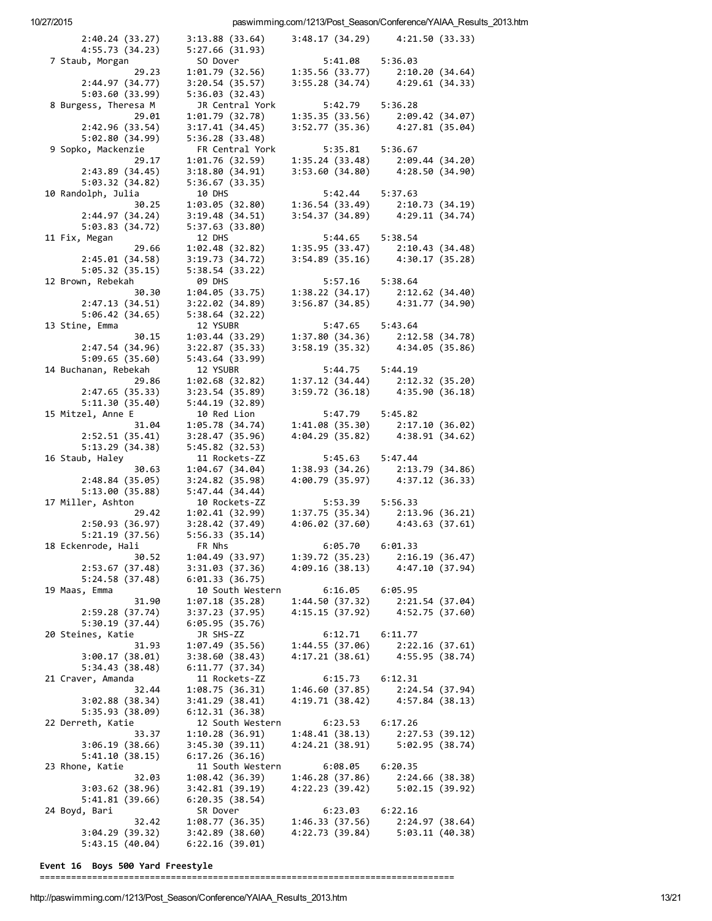paswimming.com/1213/Post\_Season/Conference/YAIAA\_Results\_2013.htm

| 2:40.24(33.27)                        | 3:13.88(33.64)                     |                                   | 3:48.17 (34.29) 4:21.50 (33.33)                    |
|---------------------------------------|------------------------------------|-----------------------------------|----------------------------------------------------|
| 4:55.73 (34.23)                       | 5:27.66(31.93)                     |                                   |                                                    |
| 7 Staub, Morgan                       | SO Dover                           | 5:41.08 5:36.03                   |                                                    |
| 29.23                                 | 1:01.79(32.56)                     | 1:35.56 (33.77)<br>3:55.28(34.74) | 2:10.20 (34.64)                                    |
| 2:44.97 (34.77)<br>5:03.60 (33.99)    | 3:20.54(35.57)<br>5:36.03(32.43)   |                                   | 4:29.61 (34.33)                                    |
| 8 Burgess, Theresa M                  | JR Central York                    | 5:42.79                           | 5:36.28                                            |
| 29.01                                 | 1:01.79 (32.78)                    | 1:35.35(33.56)                    | 2:09.42 (34.07)                                    |
| 2:42.96 (33.54)                       | 3:17.41(34.45)                     | 3:52.77(35.36)                    | 4:27.81 (35.04)                                    |
| 5:02.80 (34.99)                       | 5:36.28(33.48)                     |                                   |                                                    |
| 9 Sopko, Mackenzie                    | FR Central York                    | 5:35.81                           | 5:36.67                                            |
| 29.17                                 | 1:01.76 (32.59)                    | 1:35.24(33.48)                    | 2:09.44 (34.20)                                    |
| 2:43.89(34.45)                        | 3:18.80(34.91)<br>5:36.67(33.35)   | 3:53.60(34.80)                    | 4:28.50 (34.90)                                    |
| 5:03.32 (34.82)<br>10 Randolph, Julia | 10 DHS                             | 5:42.44                           | 5:37.63                                            |
| 30.25                                 | 1:03.05(32.80)                     | 1:36.54(33.49)                    | 2:10.73 (34.19)                                    |
| 2:44.97(34.24)                        | 3:19.48(34.51)                     |                                   | 3:54.37 (34.89) 4:29.11 (34.74)                    |
| 5:03.83(34.72)                        | 5:37.63 (33.80)                    |                                   |                                                    |
| 11 Fix, Megan                         | 12 DHS                             | 5:44.65                           | 5:38.54                                            |
| 29.66                                 | 1:02.48(32.82)                     | 1:35.95(33.47)                    | 2:10.43 (34.48)<br>4:30.17 (35.28)                 |
| 2:45.01(34.58)                        | 3:19.73(34.72)                     | 3:54.89(35.16)                    |                                                    |
| 5:05.32(35.15)                        | 5:38.54 (33.22)<br>09 DHS          |                                   |                                                    |
| 12 Brown, Rebekah<br>30.30            | 1:04.05(33.75)                     | 5:57.16 5:38.64<br>1:38.22(34.17) | 2:12.62 (34.40)                                    |
| 2:47.13(34.51)                        | 3:22.02(34.89)                     | 3:56.87(34.85)                    | 4:31.77 (34.90)                                    |
| 5:06.42(34.65)                        | 5:38.64(32.22)                     |                                   |                                                    |
| 13 Stine, Emma                        | 12 YSUBR                           | 5:47.65                           | 5:43.64                                            |
| 30.15                                 | 1:03.44(33.29)                     |                                   | 1:37.80 (34.36) 2:12.58 (34.78)                    |
| 2:47.54 (34.96)                       | 3:22.87(35.33)                     |                                   | 3:58.19 (35.32) 4:34.05 (35.86)                    |
| 5:09.65(35.60)                        | 5:43.64(33.99)                     |                                   |                                                    |
| 14 Buchanan, Rebekah                  | 12 YSUBR<br>1:02.68(32.82)         | 5:44.75<br>1:37.12(34.44)         | 5:44.19                                            |
| 29.86<br>2:47.65(35.33)               | 3:23.54(35.89)                     | 3:59.72(36.18)                    | 2:12.32 (35.20)<br>4:35.90 (36.18)                 |
| 5:11.30(35.40)                        | 5:44.19 (32.89)                    |                                   |                                                    |
| 15 Mitzel, Anne E                     | 10 Red Lion                        | 5:47.79                           | 5:45.82                                            |
| 31.04                                 | 1:05.78 (34.74)                    | 1:41.08(35.30)                    | 2:17.10 (36.02)                                    |
| 2:52.51(35.41)                        | 3:28.47(35.96)                     | 4:04.29 (35.82)                   | 4:38.91 (34.62)                                    |
| 5:13.29(34.38)                        | 5:45.82(32.53)                     |                                   |                                                    |
| 16 Staub, Haley                       | 11 Rockets-ZZ                      | 5:45.63                           | 5:47.44                                            |
| 30.63<br>2:48.84(35.05)               | 1:04.67(34.04)<br>3:24.82(35.98)   | 1:38.93(34.26)                    | 2:13.79 (34.86)<br>4:00.79 (35.97) 4:37.12 (36.33) |
| 5:13.00(35.88)                        | 5:47.44(34.44)                     |                                   |                                                    |
| 17 Miller, Ashton                     | 10 Rockets-ZZ                      | 5:53.39                           | 5:56.33                                            |
| 29.42                                 | 1:02.41(32.99)                     | 1:37.75(35.34)                    | 2:13.96 (36.21)                                    |
| 2:50.93(36.97)                        | 3:28.42(37.49)                     |                                   | $4:06.02$ (37.60) $4:43.63$ (37.61)                |
| 5:21.19(37.56)                        | 5:56.33(35.14)                     |                                   |                                                    |
| 18 Eckenrode, Hali                    | FR Nhs                             | 6:05.70 6:01.33                   |                                                    |
| 30.52                                 | 1:04.49 (33.97)<br>3:31.03(37.36)  | 1:39.72(35.23)                    | 2:16.19(36.47)<br>4:47.10(37.94)                   |
| 2:53.67 (37.48)<br>5:24.58(37.48)     | 6:01.33(36.75)                     | 4:09.16 (38.13)                   |                                                    |
| 19 Maas, Emma                         | 10 South Western                   | 6:16.05                           | 6:05.95                                            |
| 31.90                                 | 1:07.18(35.28)                     | 1:44.50(37.32)                    | 2:21.54(37.04)                                     |
| 2:59.28(37.74)                        | 3:37.23 (37.95)                    | 4:15.15(37.92)                    | 4:52.75 (37.60)                                    |
| 5:30.19(37.44)                        | 6:05.95(35.76)                     |                                   |                                                    |
| 20 Steines, Katie                     | JR SHS-ZZ                          | 6:12.71                           | 6:11.77                                            |
| 31.93                                 | 1:07.49(35.56)                     | 1:44.55(37.06)                    | 2:22.16(37.61)                                     |
| 3:00.17(38.01)<br>5:34.43(38.48)      | 3:38.60(38.43)<br>6:11.77(37.34)   | 4:17.21(38.61)                    | 4:55.95 (38.74)                                    |
| 21 Craver, Amanda                     | 11 Rockets-ZZ                      | 6:15.73                           | 6:12.31                                            |
| 32.44                                 | 1:08.75(36.31)                     | 1:46.60(37.85)                    | 2:24.54 (37.94)                                    |
| 3:02.88(38.34)                        | 3:41.29(38.41)                     | 4:19.71 (38.42)                   | 4:57.84 (38.13)                                    |
| 5:35.93 (38.09)                       | 6:12.31(36.38)                     |                                   |                                                    |
| 22 Derreth, Katie                     | 12 South Western                   | 6:23.53                           | 6:17.26                                            |
| 33.37                                 | 1:10.28(36.91)                     | 1:48.41(38.13)                    | 2:27.53 (39.12)                                    |
| 3:06.19(38.66)                        | 3:45.30(39.11)                     | 4:24.21 (38.91)                   | 5:02.95(38.74)                                     |
| 5:41.10(38.15)<br>23 Rhone, Katie     | 6:17.26(36.16)<br>11 South Western | 6:08.05                           | 6:20.35                                            |
| 32.03                                 | 1:08.42(36.39)                     | 1:46.28(37.86)                    | 2:24.66(38.38)                                     |
| 3:03.62(38.96)                        | 3:42.81(39.19)                     | 4:22.23 (39.42)                   | 5:02.15(39.92)                                     |
| 5:41.81(39.66)                        | 6:20.35(38.54)                     |                                   |                                                    |
| 24 Boyd, Bari                         | SR Dover                           | 6:23.03                           | 6:22.16                                            |
| 32.42                                 | 1:08.77(36.35)                     | 1:46.33(37.56)                    | 2:24.97 (38.64)                                    |
| 3:04.29(39.32)                        | 3:42.89 (38.60)                    | 4:22.73 (39.84)                   | 5:03.11(40.38)                                     |
| 5:43.15(40.04)                        | 6:22.16(39.01)                     |                                   |                                                    |

Event 16 Boys 500 Yard Freestyle

= = = = = = = = = = = = = = = = = = = = = = = = = = = = = = = = = = = = = = = = = = = = = = = = = = = = = = = = = = = = = = = = = = = = = = = = = = = = = = =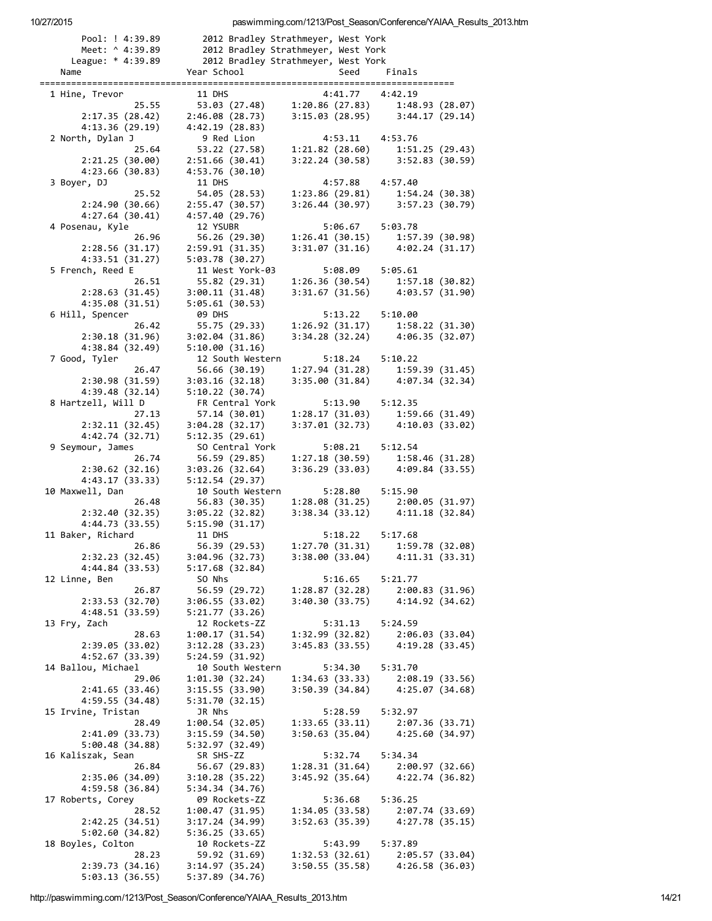| Pool: ! 4:39.89                    |                                    | 2012 Bradley Strathmeyer, West York |                                     |
|------------------------------------|------------------------------------|-------------------------------------|-------------------------------------|
| Meet: ^ 4:39.89                    |                                    | 2012 Bradley Strathmeyer, West York |                                     |
| League: * 4:39.89                  |                                    | 2012 Bradley Strathmeyer, West York |                                     |
| Name                               | Year School                        | Seed                                | Finals                              |
| 1 Hine, Trevor                     | 11 DHS                             | 4:41.77                             | 4:42.19                             |
| 25.55                              | 53.03 (27.48)                      | 1:20.86(27.83)                      | 1:48.93 (28.07)                     |
| 2:17.35(28.42)                     | 2:46.08(28.73)                     |                                     | $3:15.03(28.95)$ $3:44.17(29.14)$   |
| 4:13.36 (29.19)                    | 4:42.19 (28.83)                    |                                     |                                     |
| 2 North, Dylan J                   | 9 Red Lion                         | 4:53.11                             | 4:53.76                             |
| 25.64                              | 53.22 (27.58)                      | 1:21.82(28.60)                      | 1:51.25(29.43)                      |
| 2:21.25(30.00)                     | 2:51.66(30.41)                     | 3:22.24 (30.58)                     | 3:52.83 (30.59)                     |
| 4:23.66 (30.83)                    | 4:53.76 (30.10)<br>11 DHS          | 4:57.88                             |                                     |
| 3 Boyer, DJ<br>25.52               | 54.05 (28.53)                      | 1:23.86(29.81)                      | 4:57.40<br>1:54.24 (30.38)          |
| 2:24.90(30.66)                     | 2:55.47(30.57)                     |                                     | $3:26.44$ (30.97) $3:57.23$ (30.79) |
| 4:27.64(30.41)                     | 4:57.40 (29.76)                    |                                     |                                     |
| 4 Posenau, Kyle                    | 12 YSUBR                           | 5:06.67                             | 5:03.78                             |
| 26.96                              | 56.26 (29.30)                      | 1:26.41(30.15)                      | 1:57.39 (30.98)                     |
| 2:28.56(31.17)                     | 2:59.91(31.35)                     |                                     | $3:31.07(31.16)$ $4:02.24(31.17)$   |
| 4:33.51(31.27)                     | 5:03.78(30.27)                     |                                     |                                     |
| 5 French, Reed E                   | 11 West York-03                    | 5:08.09                             | 5:05.61                             |
| 26.51                              | 55.82 (29.31)                      | 1:26.36(30.54)                      | 1:57.18(30.82)                      |
| 2:28.63(31.45)                     | 3:00.11(31.48)                     | 3:31.67(31.56)                      | 4:03.57 (31.90)                     |
| 4:35.08(31.51)<br>6 Hill, Spencer  | 5:05.61(30.53)<br><b>09 DHS</b>    | 5:13.22                             | 5:10.00                             |
| 26.42                              | 55.75 (29.33)                      | 1:26.92(31.17)                      | 1:58.22 (31.30)                     |
| 2:30.18(31.96)                     | 3:02.04(31.86)                     |                                     | 3:34.28 (32.24) 4:06.35 (32.07)     |
| 4:38.84 (32.49)                    | 5:10.00(31.16)                     |                                     |                                     |
| 7 Good, Tyler                      | 12 South Western                   | 5:18.24                             | 5:10.22                             |
| 26.47                              | 56.66 (30.19)                      |                                     | $1:27.94(31.28)$ $1:59.39(31.45)$   |
| 2:30.98(31.59)                     | 3:03.16(32.18)                     |                                     | 3:35.00 (31.84) 4:07.34 (32.34)     |
| 4:39.48 (32.14)                    | 5:10.22(30.74)                     |                                     |                                     |
| 8 Hartzell, Will D                 | FR Central York                    | 5:13.90                             | 5:12.35                             |
| 27.13                              | 57.14 (30.01)                      | 1:28.17(31.03)                      | 1:59.66(31.49)                      |
| 2:32.11(32.45)<br>4:42.74 (32.71)  | 3:04.28(32.17)<br>5:12.35 (29.61)  | 3:37.01 (32.73)                     | 4:10.03 (33.02)                     |
| 9 Seymour, James                   | SO Central York                    | 5:08.21                             | 5:12.54                             |
| 26.74                              | 56.59 (29.85)                      | 1:27.18(30.59)                      | 1:58.46 (31.28)                     |
| 2:30.62(32.16)                     | 3:03.26(32.64)                     | 3:36.29(33.03)                      | 4:09.84 (33.55)                     |
| 4:43.17 (33.33)                    | 5:12.54(29.37)                     |                                     |                                     |
| 10 Maxwell, Dan                    | 10 South Western                   | 5:28.80                             | 5:15.90                             |
| 26.48                              | 56.83 (30.35)                      |                                     | $1:28.08(31.25)$ $2:00.05(31.97)$   |
| 2:32.40(32.35)                     | 3:05.22(32.82)                     |                                     | $3:38.34(33.12)$ $4:11.18(32.84)$   |
| 4:44.73 (33.55)                    | 5:15.90(31.17)                     |                                     |                                     |
| 11 Baker, Richard<br>26.86         | 11 DHS<br>56.39 (29.53)            | 5:18.22<br>1:27.70(31.31)           | 5:17.68<br>1:59.78 (32.08)          |
| 2:32.23(32.45)                     | 3:04.96 (32.73)                    | 3:38.00 (33.04)                     | 4:11.31(33.31)                      |
| 4:44.84 (33.53)                    | 5:17.68(32.84)                     |                                     |                                     |
| 12 Linne, Ben                      | SO Nhs                             | 5:16.65                             | 5:21.77                             |
| 26.87                              | 56.59 (29.72)                      | 1:28.87 (32.28)                     | 2:00.83(31.96)                      |
| 2:33.53 (32.70)                    | 3:06.55(33.02)                     | 3:40.30(33.75)                      | 4:14.92 (34.62)                     |
| 4:48.51 (33.59)                    | 5:21.77 (33.26)                    |                                     |                                     |
| 13 Fry, Zach                       | 12 Rockets-ZZ                      | 5:31.13                             | 5:24.59                             |
| 28.63                              | 1:00.17(31.54)                     | 1:32.99(32.82)                      | 2:06.03 (33.04)                     |
| 2:39.05 (33.02)<br>4:52.67 (33.39) | 3:12.28 (33.23)<br>5:24.59 (31.92) | 3:45.83(33.55)                      | 4:19.28(33.45)                      |
| 14 Ballou, Michael                 | 10 South Western                   | 5:34.30                             | 5:31.70                             |
| 29.06                              | 1:01.30 (32.24)                    | 1:34.63(33.33)                      | 2:08.19(33.56)                      |
| 2:41.65(33.46)                     | 3:15.55(33.90)                     | 3:50.39(34.84)                      | 4:25.07(34.68)                      |
| 4:59.55 (34.48)                    | 5:31.70 (32.15)                    |                                     |                                     |
| 15 Irvine, Tristan                 | JR Nhs                             | 5:28.59                             | 5:32.97                             |
| 28.49                              | 1:00.54(32.05)                     | 1:33.65(33.11)                      | 2:07.36(33.71)                      |
| 2:41.09(33.73)                     | 3:15.59(34.50)                     | 3:50.63(35.04)                      | 4:25.60 (34.97)                     |
| 5:00.48(34.88)                     | 5:32.97 (32.49)                    |                                     |                                     |
| 16 Kaliszak, Sean                  | SR SHS-ZZ                          | 5:32.74                             | 5:34.34                             |
| 26.84<br>2:35.06 (34.09)           | 56.67 (29.83)<br>3:10.28(35.22)    | 1:28.31(31.64)<br>3:45.92(35.64)    | 2:00.97 (32.66)<br>4:22.74 (36.82)  |
| 4:59.58 (36.84)                    | 5:34.34 (34.76)                    |                                     |                                     |
| 17 Roberts, Corey                  | 09 Rockets-ZZ                      | 5:36.68                             | 5:36.25                             |
| 28.52                              | 1:00.47(31.95)                     | 1:34.05(33.58)                      | 2:07.74(33.69)                      |
| 2:42.25(34.51)                     | 3:17.24 (34.99)                    | 3:52.63(35.39)                      | 4:27.78 (35.15)                     |
| 5:02.60(34.82)                     | 5:36.25(33.65)                     |                                     |                                     |
| 18 Boyles, Colton                  | 10 Rockets-ZZ                      | 5:43.99                             | 5:37.89                             |
| 28.23                              | 59.92 (31.69)                      | 1:32.53(32.61)                      | 2:05.57 (33.04)                     |
| 2:39.73 (34.16)                    | 3:14.97(35.24)                     | 3:50.55 (35.58)                     | 4:26.58 (36.03)                     |
| 5:03.13(36.55)                     | 5:37.89 (34.76)                    |                                     |                                     |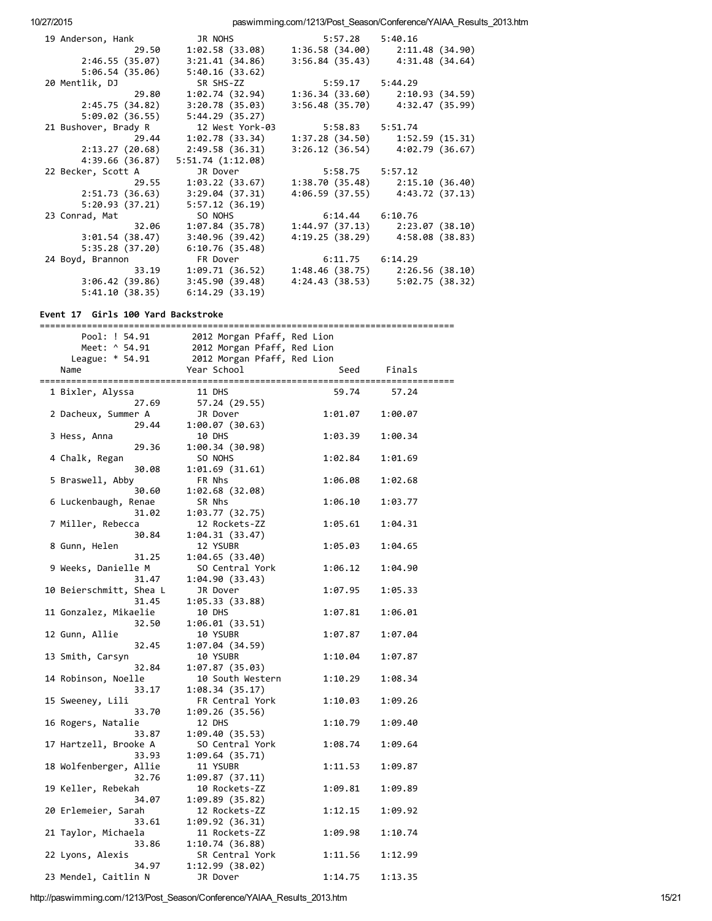paswimming.com/1213/Post\_Season/Conference/YAIAA\_Results\_2013.htm

| 19 Anderson, Hank    | JR NOHS          | $5:57.28$ $5:40.16$ |                                     |
|----------------------|------------------|---------------------|-------------------------------------|
| 29.50                | 1:02.58 (33.08)  |                     | $1:36.58(34.00)$ $2:11.48(34.90)$   |
| 2:46.55 (35.07)      | 3:21.41(34.86)   | 3:56.84 (35.43)     | 4:31.48 (34.64)                     |
| 5:06.54(35.06)       | 5:40.16(33.62)   |                     |                                     |
| 20 Mentlik, DJ       | SR SHS-ZZ        | $5:59.17$ $5:44.29$ |                                     |
| 29.80                | 1:02.74(32.94)   |                     | $1:36.34(33.60)$ $2:10.93(34.59)$   |
| 2:45.75 (34.82)      | 3:20.78(35.03)   | 3:56.48 (35.70)     | 4:32.47 (35.99)                     |
| 5:09.02 (36.55)      | 5:44.29(35.27)   |                     |                                     |
| 21 Bushover, Brady R | 12 West York-03  | 5:58.83 5:51.74     |                                     |
| 29.44                | 1:02.78(33.34)   |                     | $1:37.28(34.50)$ $1:52.59(15.31)$   |
| 2:13.27(20.68)       | 2:49.58(36.31)   |                     | $3:26.12$ (36.54) $4:02.79$ (36.67) |
| 4:39.66 (36.87)      | 5:51.74(1:12.08) |                     |                                     |
| 22 Becker, Scott A   | JR Dover         | 5:58.75 5:57.12     |                                     |
| 29.55                | 1:03.22 (33.67)  |                     | $1:38.70(35.48)$ $2:15.10(36.40)$   |
| 2:51.73(36.63)       | 3:29.04(37.31)   |                     | $4:06.59(37.55)$ $4:43.72(37.13)$   |
| 5:20.93(37.21)       | 5:57.12(36.19)   |                     |                                     |
| 23 Conrad, Mat       | SO NOHS          | 6:14.44 6:10.76     |                                     |
| 32.06                | 1:07.84(35.78)   |                     | $1:44.97(37.13)$ $2:23.07(38.10)$   |
| 3:01.54(38.47)       | 3:40.96(39.42)   |                     | 4:19.25 (38.29) 4:58.08 (38.83)     |
| 5:35.28(37.20)       | 6:10.76(35.48)   |                     |                                     |
| 24 Boyd, Brannon     | FR Dover         | $6:11.75$ $6:14.29$ |                                     |
| 33.19                | 1:09.71(36.52)   |                     | $1:48.46$ (38.75) $2:26.56$ (38.10) |
| 3:06.42(39.86)       | 3:45.90(39.48)   | 4:24.43 (38.53)     | 5:02.75 (38.32)                     |
| 5:41.10(38.35)       | 6:14.29(33.19)   |                     |                                     |

#### Event 17 Girls 100 Yard Backstroke

| ================        | ==========================  |         | -------------------------------------- |
|-------------------------|-----------------------------|---------|----------------------------------------|
| Pool: ! 54.91           | 2012 Morgan Pfaff, Red Lion |         |                                        |
| Meet: ^ 54.91           | 2012 Morgan Pfaff, Red Lion |         |                                        |
| League: * 54.91         | 2012 Morgan Pfaff, Red Lion |         |                                        |
| Name                    | Year School                 | Seed    | Finals                                 |
|                         |                             |         |                                        |
| 1 Bixler, Alyssa        | 11 DHS                      | 59.74   | 57.24                                  |
| 27.69                   | 57.24 (29.55)               |         |                                        |
| 2 Dacheux, Summer A     | JR Dover                    | 1:01.07 | 1:00.07                                |
| 29.44                   | 1:00.07(30.63)              |         |                                        |
| 3 Hess, Anna            | 10 DHS                      | 1:03.39 | 1:00.34                                |
| 29.36                   | 1:00.34 (30.98)             |         |                                        |
| 4 Chalk, Regan          | SO NOHS                     | 1:02.84 | 1:01.69                                |
| 30.08                   | 1:01.69(31.61)              |         |                                        |
| 5 Braswell, Abby        | FR Nhs                      | 1:06.08 | 1:02.68                                |
| 30.60                   | 1:02.68(32.08)              |         |                                        |
| 6 Luckenbaugh, Renae    | SR Nhs                      | 1:06.10 | 1:03.77                                |
| 31.02                   | 1:03.77(32.75)              |         |                                        |
| 7 Miller, Rebecca       | 12 Rockets-ZZ               | 1:05.61 | 1:04.31                                |
| 30.84                   | 1:04.31(33.47)              |         |                                        |
| 8 Gunn, Helen           | 12 YSUBR                    | 1:05.03 | 1:04.65                                |
| 31.25                   | 1:04.65(33.40)              |         |                                        |
| 9 Weeks, Danielle M     | SO Central York             | 1:06.12 | 1:04.90                                |
| 31.47                   |                             |         |                                        |
|                         | 1:04.90(33.43)              |         |                                        |
| 10 Beierschmitt, Shea L | JR Dover                    | 1:07.95 | 1:05.33                                |
| 31.45                   | 1:05.33(33.88)              |         |                                        |
| 11 Gonzalez, Mikaelie   | 10 DHS                      | 1:07.81 | 1:06.01                                |
| 32.50                   | 1:06.01(33.51)              |         |                                        |
| 12 Gunn, Allie          | 10 YSUBR                    | 1:07.87 | 1:07.04                                |
| 32.45                   | 1:07.04(34.59)              |         |                                        |
| 13 Smith, Carsyn        | 10 YSUBR                    | 1:10.04 | 1:07.87                                |
| 32.84                   | 1:07.87 (35.03)             |         |                                        |
| 14 Robinson, Noelle     | 10 South Western            | 1:10.29 | 1:08.34                                |
| 33.17                   | 1:08.34(35.17)              |         |                                        |
| 15 Sweeney, Lili        | FR Central York             | 1:10.03 | 1:09.26                                |
| 33.70                   | 1:09.26(35.56)              |         |                                        |
| 16 Rogers, Natalie      | 12 DHS                      | 1:10.79 | 1:09.40                                |
| 33.87                   | 1:09.40(35.53)              |         |                                        |
| 17 Hartzell, Brooke A   | SO Central York             | 1:08.74 | 1:09.64                                |
| 33.93                   | 1:09.64(35.71)              |         |                                        |
| 18 Wolfenberger, Allie  | 11 YSUBR                    | 1:11.53 | 1:09.87                                |
| 32.76                   | 1:09.87(37.11)              |         |                                        |
| 19 Keller, Rebekah      | 10 Rockets-ZZ               | 1:09.81 | 1:09.89                                |
| 34.07                   | 1:09.89(35.82)              |         |                                        |
| 20 Erlemeier, Sarah     | 12 Rockets-ZZ               | 1:12.15 | 1:09.92                                |
| 33.61                   | 1:09.92(36.31)              |         |                                        |
| 21 Taylor, Michaela     | 11 Rockets-ZZ               | 1:09.98 | 1:10.74                                |
| 33.86                   | 1:10.74(36.88)              |         |                                        |
| 22 Lyons, Alexis        | SR Central York             | 1:11.56 | 1:12.99                                |
| 34.97                   | 1:12.99(38.02)              |         |                                        |
| 23 Mendel, Caitlin N    | JR Dover                    | 1:14.75 | 1:13.35                                |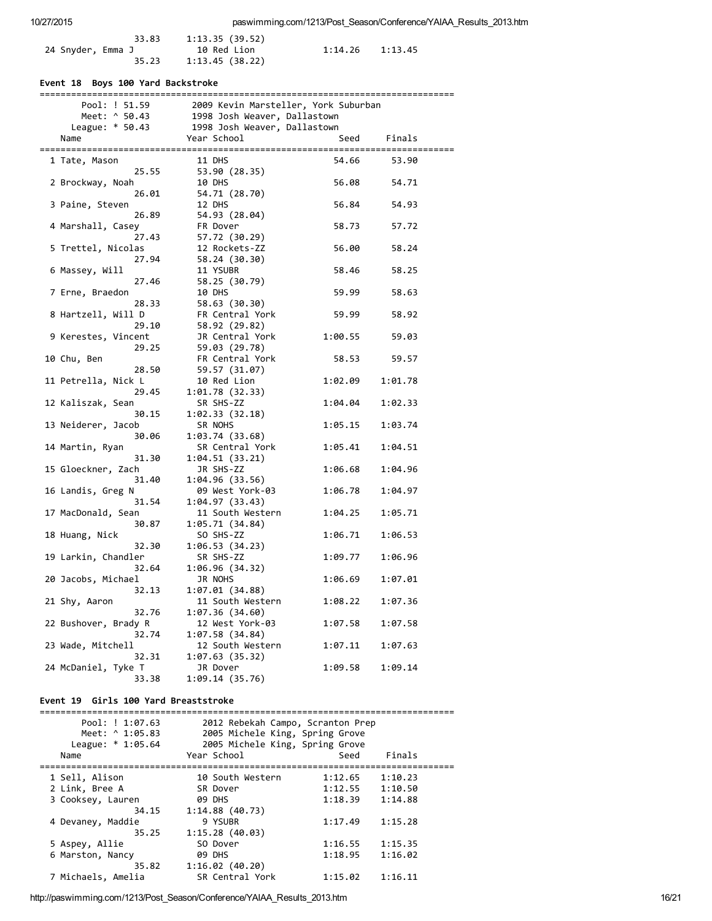|                   | 33.83 | 1:13.35(39.52)                |         |         |
|-------------------|-------|-------------------------------|---------|---------|
| 24 Snyder, Emma J | 35.23 | 10 Red Lion<br>1:13.45(38.22) | 1:14.26 | 1:13.45 |

## Event 18 Boys 100 Yard Backstroke

| Pool: ! 51.59        | 2009 Kevin Marsteller, York Suburban                                                         |         |         |
|----------------------|----------------------------------------------------------------------------------------------|---------|---------|
| Meet: ^ 50.43        |                                                                                              |         |         |
| League: * 50.43      | 1998 Josh Weaver, Dallastown<br>1998 Josh Weaver, Dallastown<br>1998 Josh Weaver, Dallastown |         |         |
| Name                 | Year School                                                                                  | Seed    | Finals  |
|                      |                                                                                              |         |         |
| 1 Tate, Mason        | 11 DHS                                                                                       | 54.66   | 53.90   |
| 25.55                | 53.90 (28.35)                                                                                |         |         |
| 2 Brockway, Noah     | 10 DHS                                                                                       | 56.08   | 54.71   |
| 26.01                | 54.71 (28.70)                                                                                |         |         |
| 3 Paine, Steven      | 12 DHS                                                                                       | 56.84   | 54.93   |
| 26.89                | 54.93 (28.04)                                                                                |         |         |
| 4 Marshall, Casey    | FR Dover                                                                                     | 58.73   | 57.72   |
| 27.43                | 57.72 (30.29)                                                                                |         |         |
| 5 Trettel, Nicolas   | 12 Rockets-ZZ                                                                                | 56.00   | 58.24   |
| 27.94                | 58.24 (30.30)                                                                                |         |         |
| 6 Massey, Will       | 11 YSUBR                                                                                     | 58.46   | 58.25   |
| 27.46                | 58.25 (30.79)                                                                                |         |         |
| 7 Erne, Braedon      | 10 DHS                                                                                       | 59.99   | 58.63   |
| 28.33                | 58.63 (30.30)                                                                                |         |         |
| 8 Hartzell, Will D   | FR Central York                                                                              | 59.99   | 58.92   |
| 29.10                | 58.92 (29.82)                                                                                |         |         |
| 9 Kerestes, Vincent  | JR Central York                                                                              | 1:00.55 | 59.03   |
| 29.25                | 59.03 (29.78)                                                                                |         |         |
| 10 Chu, Ben          | FR Central York                                                                              | 58.53   | 59.57   |
| 28.50                | 59.57 (31.07)                                                                                |         |         |
| 11 Petrella, Nick L  | 10 Red Lion                                                                                  | 1:02.09 | 1:01.78 |
| 29.45                | 1:01.78(32.33)                                                                               |         |         |
| 12 Kaliszak, Sean    | SR SHS-ZZ                                                                                    | 1:04.04 | 1:02.33 |
| 30.15                | 1:02.33(32.18)                                                                               |         |         |
| 13 Neiderer, Jacob   | SR NOHS                                                                                      | 1:05.15 | 1:03.74 |
| 30.06                | 1:03.74(33.68)                                                                               |         |         |
| 14 Martin, Ryan      | SR Central York                                                                              | 1:05.41 | 1:04.51 |
| 31.30                | 1:04.51(33.21)                                                                               |         |         |
| 15 Gloeckner, Zach   | JR SHS-ZZ                                                                                    | 1:06.68 | 1:04.96 |
| 31.40                | 1:04.96(33.56)                                                                               |         |         |
| 16 Landis, Greg N    | 09 West York-03                                                                              | 1:06.78 | 1:04.97 |
| 31.54                | 1:04.97(33.43)                                                                               |         |         |
| 17 MacDonald, Sean   | 11 South Western                                                                             | 1:04.25 | 1:05.71 |
| 30.87                | 1:05.71(34.84)                                                                               |         |         |
| 18 Huang, Nick       | SO SHS-ZZ                                                                                    | 1:06.71 | 1:06.53 |
| 32.30                | 1:06.53(34.23)                                                                               |         |         |
| 19 Larkin, Chandler  | SR SHS-ZZ                                                                                    | 1:09.77 | 1:06.96 |
| 32.64                | 1:06.96(34.32)                                                                               |         |         |
| 20 Jacobs, Michael   | JR NOHS                                                                                      | 1:06.69 | 1:07.01 |
| 32.13                | 1:07.01(34.88)                                                                               |         |         |
| 21 Shy, Aaron        | 11 South Western                                                                             | 1:08.22 | 1:07.36 |
| 32.76                | 1:07.36(34.60)                                                                               |         |         |
| 22 Bushover, Brady R | 12 West York-03                                                                              | 1:07.58 | 1:07.58 |
| 32.74                | 1:07.58(34.84)                                                                               |         |         |
| 23 Wade, Mitchell    | 12 South Western                                                                             | 1:07.11 | 1:07.63 |
| 32.31                | 1:07.63(35.32)                                                                               |         |         |
| 24 McDaniel, Tyke T  | JR Dover                                                                                     | 1:09.58 | 1:09.14 |
| 33.38                | 1:09.14(35.76)                                                                               |         |         |

## Event 19 Girls 100 Yard Breaststroke

| Pool: ! 1:07.63<br>Meet: ^ 1:05.83<br>League: * 1:05.64 | 2012 Rebekah Campo, Scranton Prep<br>2005 Michele King, Spring Grove<br>2005 Michele King, Spring Grove |         |         |
|---------------------------------------------------------|---------------------------------------------------------------------------------------------------------|---------|---------|
| Name                                                    | Year School                                                                                             | Seed    | Finals  |
|                                                         |                                                                                                         |         |         |
| 1 Sell, Alison                                          | 10 South Western                                                                                        | 1:12.65 | 1:10.23 |
| 2 Link, Bree A                                          | SR Dover                                                                                                | 1:12.55 | 1:10.50 |
| 3 Cooksey, Lauren                                       | <b>09 DHS</b>                                                                                           | 1:18.39 | 1:14.88 |
| 34.15                                                   | 1:14.88(40.73)                                                                                          |         |         |
| 4 Devaney, Maddie                                       | 9 YSUBR                                                                                                 | 1:17.49 | 1:15.28 |
| 35.25                                                   | 1:15.28(40.03)                                                                                          |         |         |
| 5 Aspey, Allie                                          | SO Dover                                                                                                | 1:16.55 | 1:15.35 |
| 6 Marston, Nancy                                        | <b>09 DHS</b>                                                                                           | 1:18.95 | 1:16.02 |
| 35.82                                                   | 1:16.02(40.20)                                                                                          |         |         |
| 7 Michaels, Amelia                                      | SR Central York                                                                                         | 1:15.02 | 1:16.11 |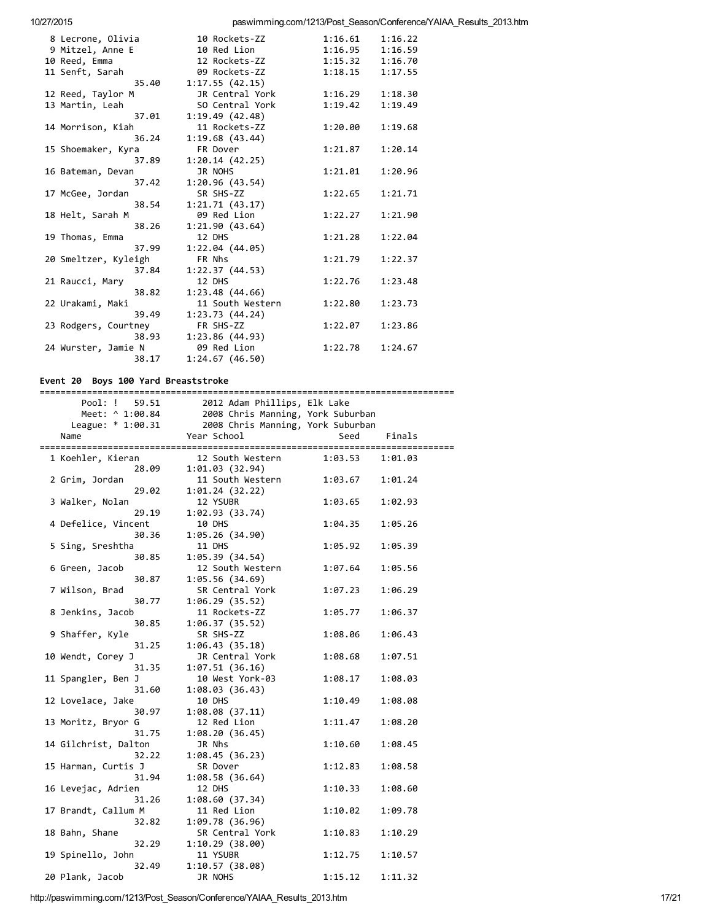paswimming.com/1213/Post\_Season/Conference/YAIAA\_Results\_2013.htm

| 8 Lecrone, Olivia    | 10 Rockets-ZZ    | 1:16.61 | 1:16.22 |
|----------------------|------------------|---------|---------|
| 9 Mitzel, Anne E     | 10 Red Lion      | 1:16.95 | 1:16.59 |
| 10 Reed, Emma        | 12 Rockets-ZZ    | 1:15.32 | 1:16.70 |
| 11 Senft, Sarah      | 09 Rockets-ZZ    | 1:18.15 | 1:17.55 |
| 35.40                | 1:17.55(42.15)   |         |         |
| 12 Reed, Taylor M    | JR Central York  | 1:16.29 | 1:18.30 |
| 13 Martin, Leah      | SO Central York  | 1:19.42 | 1:19.49 |
| 37.01                | 1:19.49(42.48)   |         |         |
| 14 Morrison, Kiah    | 11 Rockets-ZZ    | 1:20.00 | 1:19.68 |
| 36.24                | 1:19.68(43.44)   |         |         |
| 15 Shoemaker, Kyra   | FR Dover         | 1:21.87 | 1:20.14 |
| 37.89                | 1:20.14(42.25)   |         |         |
| 16 Bateman, Devan    | JR NOHS          | 1:21.01 | 1:20.96 |
| 37.42                | 1:20.96(43.54)   |         |         |
| 17 McGee, Jordan     | SR SHS-ZZ        | 1:22.65 | 1:21.71 |
| 38.54                | 1:21.71(43.17)   |         |         |
| 18 Helt, Sarah M     | 09 Red Lion      | 1:22.27 | 1:21.90 |
| 38.26                | 1:21.90(43.64)   |         |         |
| 19 Thomas, Emma      | 12 DHS           | 1:21.28 | 1:22.04 |
| 37.99                | 1:22.04(44.05)   |         |         |
| 20 Smeltzer, Kyleigh | FR Nhs           | 1:21.79 | 1:22.37 |
| 37.84                | 1:22.37(44.53)   |         |         |
| 21 Raucci, Mary      | 12 DHS           | 1:22.76 | 1:23.48 |
| 38.82                | 1:23.48(44.66)   |         |         |
| 22 Urakami, Maki     | 11 South Western | 1:22.80 | 1:23.73 |
| 39.49                | 1:23.73(44.24)   |         |         |
| 23 Rodgers, Courtney | FR SHS-ZZ        | 1:22.07 | 1:23.86 |
| 38.93                | 1:23.86(44.93)   |         |         |
| 24 Wurster, Jamie N  | 09 Red Lion      | 1:22.78 | 1:24.67 |
| 38.17                | 1:24.67(46.50)   |         |         |
|                      |                  |         |         |

Event 20 Boys 100 Yard Breaststroke

| Pool: !<br>59.51     | 2012 Adam Phillips, Elk Lake      |                     |         |
|----------------------|-----------------------------------|---------------------|---------|
| Meet: ^ 1:00.84      | 2008 Chris Manning, York Suburban |                     |         |
| League: * 1:00.31    | 2008 Chris Manning, York Suburban |                     |         |
| Name                 | Year School                       | Seed                | Finals  |
|                      |                                   |                     |         |
| 1 Koehler, Kieran    | 12 South Western                  | $1:03.53$ $1:01.03$ |         |
| 28.09                | 1:01.03(32.94)                    |                     |         |
| 2 Grim, Jordan       | 11 South Western                  | 1:03.67             | 1:01.24 |
| 29.02                | 1:01.24(32.22)                    |                     |         |
| 3 Walker, Nolan      | 12 YSUBR                          | 1:03.65             | 1:02.93 |
| 29.19                | 1:02.93 (33.74)                   |                     |         |
| 4 Defelice, Vincent  | 10 DHS                            | 1:04.35             | 1:05.26 |
| 30.36                | 1:05.26 (34.90)                   |                     |         |
| 5 Sing, Sreshtha     | 11 DHS                            | 1:05.92             | 1:05.39 |
| 30.85                | 1:05.39(34.54)                    |                     |         |
| 6 Green, Jacob       | 12 South Western                  | 1:07.64             | 1:05.56 |
| 30.87                | 1:05.56(34.69)                    |                     |         |
| 7 Wilson, Brad       | SR Central York                   | 1:07.23             | 1:06.29 |
| 30.77                | 1:06.29(35.52)                    |                     |         |
| 8 Jenkins, Jacob     | 11 Rockets-ZZ                     | 1:05.77             | 1:06.37 |
| 30.85                | 1:06.37(35.52)                    |                     |         |
| 9 Shaffer, Kyle      | SR SHS-ZZ                         | 1:08.06             | 1:06.43 |
| 31.25                | 1:06.43(35.18)                    |                     |         |
| 10 Wendt, Corey J    | JR Central York                   | 1:08.68             | 1:07.51 |
| 31.35                | 1:07.51(36.16)                    |                     |         |
| 11 Spangler, Ben J   | 10 West York-03                   | 1:08.17             | 1:08.03 |
| 31.60                | 1:08.03(36.43)                    |                     |         |
| 12 Lovelace, Jake    | 10 DHS                            | 1:10.49             | 1:08.08 |
| 30.97                | 1:08.08(37.11)                    |                     |         |
| 13 Moritz, Bryor G   | 12 Red Lion                       | 1:11.47             | 1:08.20 |
| 31.75                | 1:08.20(36.45)                    |                     |         |
| 14 Gilchrist, Dalton | JR Nhs                            | 1:10.60             | 1:08.45 |
| 32.22                | 1:08.45(36.23)                    |                     |         |
| 15 Harman, Curtis J  | SR Dover                          | 1:12.83             | 1:08.58 |
| 31.94                | 1:08.58(36.64)                    |                     |         |
| 16 Levejac, Adrien   | 12 DHS                            | 1:10.33             | 1:08.60 |
| 31.26                | 1:08.60(37.34)                    |                     |         |
| 17 Brandt, Callum M  | 11 Red Lion                       | 1:10.02             | 1:09.78 |
| 32.82                | 1:09.78(36.96)                    |                     |         |
| 18 Bahn, Shane       | SR Central York                   | 1:10.83             | 1:10.29 |
| 32.29                | 1:10.29(38.00)                    |                     |         |
| 19 Spinello, John    | 11 YSUBR                          | 1:12.75             | 1:10.57 |
| 32.49                | 1:10.57(38.08)                    |                     |         |
| 20 Plank, Jacob      | JR NOHS                           | 1:15.12             | 1:11.32 |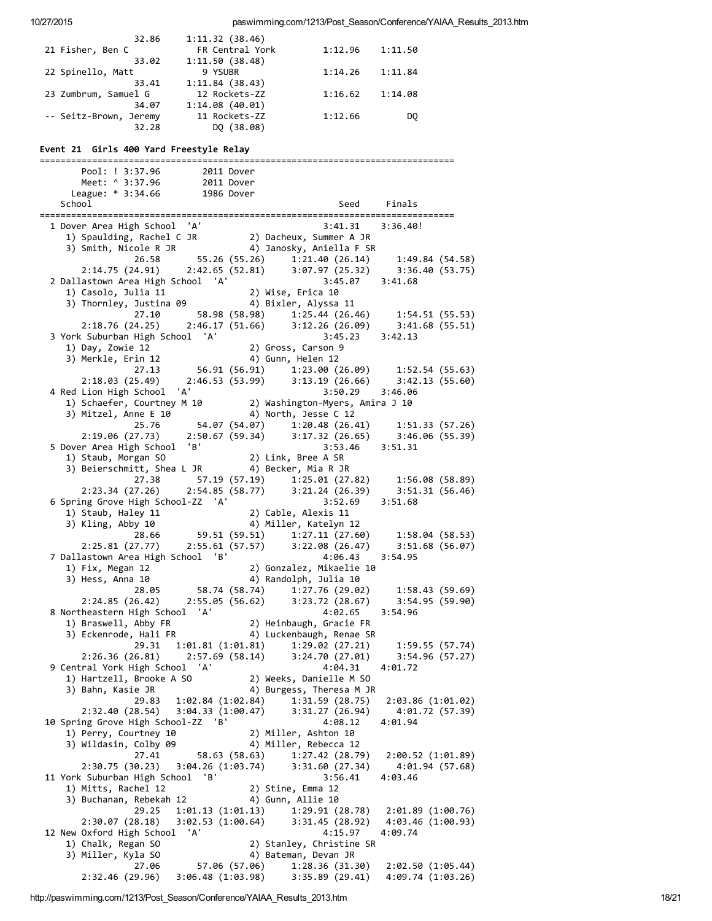| 32.86                  | 1:11.32(38.46)  |         |         |
|------------------------|-----------------|---------|---------|
| 21 Fisher, Ben C       | FR Central York | 1:12.96 | 1:11.50 |
| 33.02                  | 1:11.50(38.48)  |         |         |
| 22 Spinello, Matt      | 9 YSUBR         | 1:14.26 | 1:11.84 |
| 33.41                  | 1:11.84(38.43)  |         |         |
| 23 Zumbrum, Samuel G   | 12 Rockets-ZZ   | 1:16.62 | 1:14.08 |
| 34.07                  | 1:14.08(40.01)  |         |         |
| -- Seitz-Brown, Jeremy | 11 Rockets-ZZ   | 1:12.66 | DO      |
| 32.28                  | DO (38.08)      |         |         |

#### Event 21 Girls 400 Yard Freestyle Relay

Pool: ! 3:37.96 2011 Dover Meet: ^ 3:37.96 2011 Dover League: \* 3:34.66 1986 Dover School Seed Finals  $3:41.31$   $3:36.40!$ 1) Spaulding, Rachel C JR 2) Dacheux, Summer A JR 3) Smith, Nicole R JR 4) Janosky, Aniella F SR 55.26 (55.26) 1:21.40 (26.14) 1:49.84 (54.58) 26.58  $2:42.65(52.81)$   $3:07.97(25.32)$  $2:14.75(24.91)$ 3:36.40 (53.75) 2 Dallastown Area High School 'A' 3:45.07 3:41.68 2) Wise, Erica 10 1) Casolo, Julia 11 3) Thornley, Justina 09 4) Bixler, Alyssa 11 58.98 (58.98) 1:25.44 (26.46) 27.10  $1:54.51(55.53)$  $3:12.26(26.09)$  $2:46.17(51.66)$  $2:18.76(24.25)$  $3:41.68(55.51)$ 3 York Suburban High School 'A'  $3:45.23$  $3:42.13$ 1) Day, Zowie 12 2) Gross, Carson 9 3) Merkle, Erin 12 4) Gunn, Helen 12  $1:52.54$  (55.63) 56.91 (56.91) 1:23.00 (26.09) 27.13  $3:13.19(26.66)$  $2:18.03(25.49)$  $2:46.53(53.99)$  $3:42.13(55.60)$ 4 Red Lion High School 'A' 3:50.29 3:46.06 2) Washington-Myers, Amira J 10 1) Schaefer, Courtney M 10 3) Mitzel, Anne E 10 4) North, Jesse C 12 54.07 (54.07) 1:20.48 (26.41) 25.76  $1:51.33(57.26)$ 3:46.06 (55.39)<br>3:46.06 (55.39)  $2:19.06(27.73)$  $2:50.67(59.34)$  $3:17.32(26.65)$ 5 Dover Area High School 'B' 3:53.46 3:51.31 1) Staub, Morgan SO 2) Link, Bree A SR 3) Beierschmitt, Shea L JR (4) Becker, Mia R JR  $1:56.08(58.89)$ 27.38 57.19 (57.19) 1:25.01 (27.82)  $2:54.85(58.77)$   $3:21.24(26.39)$  $2:23.34(27.26)$  $3:51.31(56.46)$ 6 Spring Grove High School-ZZ 'A' 3:52.69  $3:51.68$ 1) Staub, Haley 11 2) Cable, Alexis 11 3) Kling, Abby 10 4) Miller, Katelyn 12 59.51 (59.51) 1:27.11 (27.60) 28.66  $1:58.04(58.53)$  $3:22.08(26.47)$ 2:55.61 (57.57)  $3:51.68(56.07)$  $2:25.81(27.77)$ 7 Dallastown Area High School 'B' 4:06.43  $3:54.95$ 2) Gonzalez, Mikaelie 10 1) Fix, Megan 12 3) Hess, Anna 10 4) Randolph, Julia 10 58.74 (58.74) 1:27.76 (29.02) 28.05  $1:58.43(59.69)$  $2:24.85(26.42)$  $2:55.05(56.62)$  $3:23.72(28.67)$ 3:54.95 (59.90) 8 Northeastern High School 'A' 4:02.65 3:54.96 2) Heinbaugh, Gracie FR 1) Braswell, Abby FR 3) Eckenrode, Hali FR 4) Luckenbaugh, Renae SR 29.31 1:01.81 (1:01.81) 1:29.02 (27.21)<br>26.81) 2:57.69 (58.14) 3:24.70 (27.01) 1:59.55 (57.74)  $3:54.96(57.27)$  $2:26.36(26.81)$ 9 Central York High School 'A' 4:04.31 4:01.72 1) Hartzell, Brooke A SO 2) Weeks, Danielle M SO 3) Bahn, Kasie JR 4) Burgess, Theresa M JR 29.83 1:02.84 (1:02.84) 1:31.59 (28.75) 2:03.86 (1:01.02)<br>2:32.40 (28.54) 3:04.33 (1:00.47) 3:31.27 (26.94) 4:01.72 (57.39) 10 Spring Grove High School-ZZ 'B' 4:08.12  $4:01.94$ 1) Perry, Courtney 10 2) Miller, Ashton 10 3) Wildasin, Colby 09 4) Miller, Rebecca 12 27.41 58.63 (58.63) 1:27.42 (28.79)  $2:00.52(1:01.89)$ 2:30.75 (30.23) 3:04.26 (1:03.74) 3:31.60 (27.34) 4:01.94 (57.68) 11 York Suburban High School 'B'  $3:56.41$  $4:03.46$ 1) Mitts, Rachel 12 2) Stine, Emma 12 4) Gunn, Allie 10 3) Buchanan, Rebekah 12  $29.25$  1:01.13 (1:01.13) 1:29.91 (28.78)<br>2:30.07 (28.18) 3:02.53 (1:00.64) 3:31.45 (28.92) 2:01.89 (1:00.76)  $3:31.45(28.92)$   $4:03.46(1:00.93)$ 12 New Oxford High School 'A' 4:09.74 4:15.97 1) Chalk, Regan SO 2) Stanley, Christine SR 3) Miller, Kyla SO 4) Bateman, Devan JR 57.06 (57.06)  $2:02.50(1:05.44)$ 27.06  $1:28.36(31.30)$  $3:35.89(29.41)$  4:09.74  $(1:03.26)$  $2:32.46(29.96)$ 3:06.48 (1:03.98)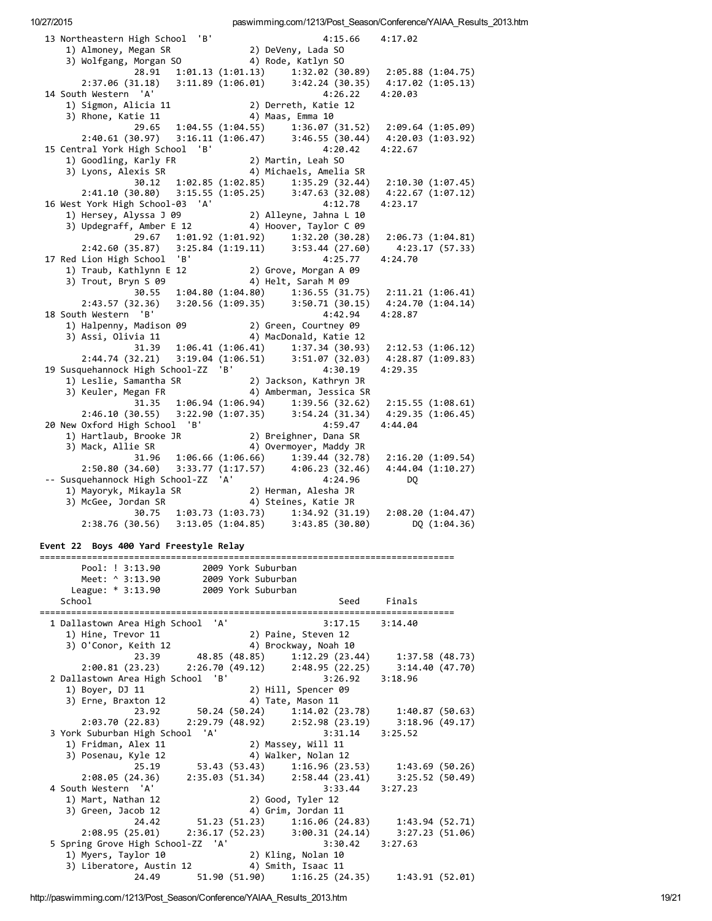13 Northeastern High School 'B'  $4:15.66$ 4:17.02 1) Almoney, Megan SR 2) DeVeny, Lada SO<br>3) Wolfgang, Morgan SO 4) Rode, Katlyn SO 28.91 1:01.13 (1:01.13) 1:32.02 (30.89) 2:05.88 (1:04.75)<br>2:37.06 (31.18) 3:11.89 (1:06.01) 3:42.24 (30.35) 4:17.02 (1:05.13) 14 South Western 'A' 4:26.22 4:20.03 1) Sigmon, Alicia 11 (2) Derreth, Katie 12<br>3) Rhone, Katie 11 (4) Maas, Emma 10 2:40.61 (30.97) 3:16.11 (1:06.47) 3:46.55 (30.44) 4:20.03 (1:03.92) 15 Central York High School 'B' 4:20.42 4:22.67 2) Martin, Leah SO<br>4) Michaels, Amelia SR 1) Goodling, Karly FR 3) Lyons, Alexis SR 30.12 1:02.85 (1:02.85) 1:35.29 (32.44) 2:10.30 (1:07.45)<br>2:41.10 (30.80) 3:15.55 (1:05.25) 3:47.63 (32.08) 4:22.67 (1:07.12) 16 West York High School-03 'A'  $4:23.17$  $4:12.78$ 1) Hersey, Alyssa J 09 (2) Alleyne, Jahna L 10<br>3) Updegraff, Amber E 12 (4) Hoover, Taylor C 09 29.67 1:01.92 (1:01.92) 1:32.20 (30.28) 2:06.73 (1:04.81)<br>2:42.60 (35.87) 3:25.84 (1:19.11) 3:53.44 (27.60) 4:23.17 (57.33)<br>Lion High School 'B' 4:25.77 4:24.70 17 Red Lion High School 'B' 1) Traub, Kathlynn E 12 2) Grove, Morgan A 09<br>3) Trout, Bryn S 09 4) Helt, Sarah M 09  $30.55$  1:04.80 (1:04.80) 1:36.55 (31.75) 2:11.21 (1:06.41)<br>2:43.57 (32.36) 3:20.56 (1:09.35) 3:50.71 (30.15) 4:24.70 (1:04.14) 18 South Western 'B' 4:42.94 4:28.87 1) Halpenny, Madison 09 (2) Green, Courtney 09<br>3) Assi, Olivia 11 (4) 4) MacDonald, Katie 12 31.39 1:06.41 (1:06.41) 1:37.34 (30.93) 2:12.53 (1:06.12)<br>2:44.74 (32.21) 3:19.04 (1:06.51) 3:51.07 (32.03) 4:28.87 (1:09.83) 19 Susquehannock High School-ZZ 'B' Susquehannock night policy and the control of the control of the control of the control of the control of the c<br>
1) Leslie, Samantha SR (2) Jackson, National Control of the control of the control of the control of the cont 4:30.19 4:29.35  $31.35$  1:06.94 (1:06.94) 1:39.56 (32.62) 2:15.55 (1:08.61) 2:46.10 (30.55) 3:22.90 (1:07.35) 3:54.24 (31.34) 4:29.35 (1:06.45)<br>Oxford High School 'B' 4:59.47 4:44.04<br>Hartlaub, Brooke JR 2) Breighner, Dana SR<br>Mack, Allie SR 4) Overmoyer, Maddy JR 20 New Oxford High School 'B' 1) Hartlaub, Brooke JR 3) Mack, Allie SR 31.96 1:06.66 (1:06.66) 1:39.44 (32.78) 2:16.20 (1:09.54)<br>2:50.80 (34.60) 3:33.77 (1:17.57) 4:06.23 (32.46) 4:44.04 (1:10.27)<br>-- Susquehannock High School-ZZ 'A' 4:24.96 DQ 30.75 1:03.73 (1:03.73) 1:34.92 (31.19) 2:08.20 (1:04.47)<br>2:38.76 (30.56) 3:13.05 (1:04.85) 3:43.85 (30.80) DQ (1:04.36) Event 22 Boys 400 Yard Freestyle Relay Pool: ! 3:13.90 2009 York Suburban<br>
Meet: ^ 3:13.90 2009 York Suburban<br>
League: \* 3:13.90 2009 York Suburban Seed Finals School 1 Dallastown Area High School 'A' 3:17.15 3:14.40  $\begin{bmatrix} 1 \end{bmatrix}$  Hine, Trevor 11 2) Paine, Steven 12 1) Hine, irevui 11<br>
3) 0'Conor, Keith 12<br>
23.39 48.85 (48.85) 1:12.29 (23.44) 1:37.58 (48.73)<br>
2:00.81 (23.23) 2:26.70 (49.12) 2:48.95 (22.25) 3:14.40 (47.70)<br>
2:10ctour Area High School 'B' 3:26.92 3:18.96 2 Dallastown Area High School 'B' ل )<br>1) Boyer, DJ 11 (2) Hill, Spencer 09<br>3) Frne. Braxton 12 (4) Tate, Mason 11 3) Erne, Braxton 12<br>
23.92 50.24 (50.24) 1:14.02 (23.78) 1:40.87 (50.63)<br>
2:03.70 (22.83) 2:29.79 (48.92) 2:52.98 (23.19) 3:18.96 (49.17) 3 York Suburban High School 'A'  $3:31.14$   $3:25.52$ 1) Fridman, Alex 11 2) Massey, Will 11 3) Posenau, Kyle 12 4) Walker, Nolan 12  $25.19$  53.43 (53.43)<br>2:08.05 (24.36) 2:35.03 (51.34)  $53.43$  (53.43)  $1:16.96$  (23.53)  $1:43.69$  (50.26)<br>2:35.03 (51.34) 2:58.44 (23.41) 3:25.52 (50.49) 4 South Western 'A' 3:33.44 3:27.23 2) Good, Tyler 12<br>4) Grim, Jordan 11 1) Mart, Nathan 12 3) Green, Jacob 12 4) Grim, Jordan 11<br>
51.23 (51.23) 1:16.06 (24.83) 1:43.94 (52.71)<br>
2:36.17 (52.23) 3:00.31 (24.14) 3:27.23 (51.06)<br>
hool-ZZ 'A' 3:30.42 3:27.63 24.42  $2:08.95(25.01)$ 5 Spring Grove High School-ZZ 'A' 1) Myers, Taylor 10 (2) Kling, Nolan 10<br>3) Liberatore, Austin 12 (4) Smith, Isaac 11

paswimming.com/1213/Post\_Season/Conference/YAIAA\_Results\_2013.htm

10/27/2015

http://paswimming.com/1213/Post Season/Conference/YAIAA Results 2013.htm

24.49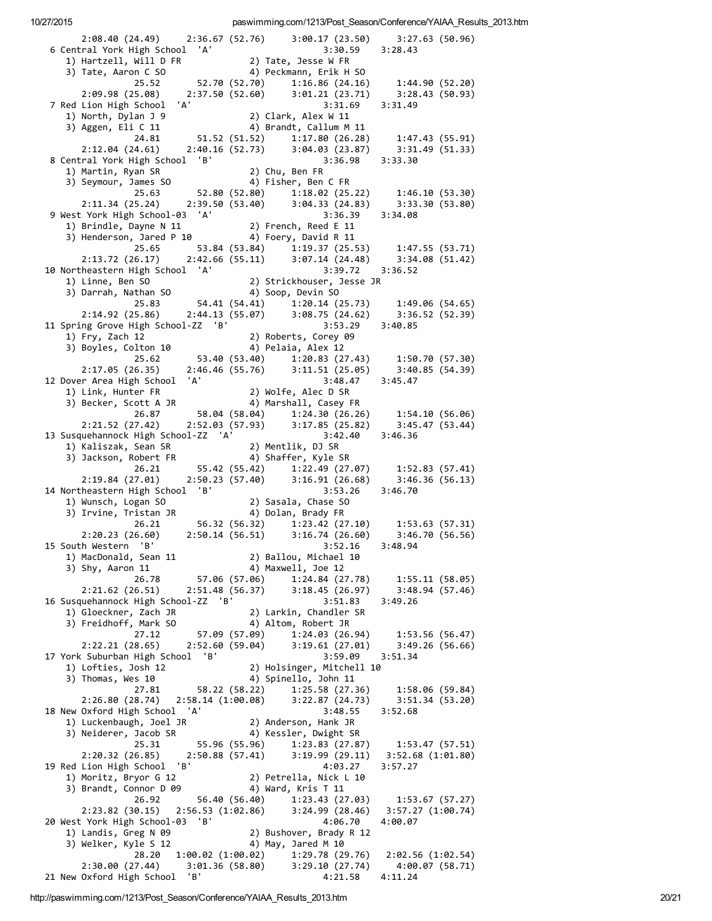paswimming.com/1213/Post Season/Conference/YAIAA Results 2013.htm

2:08.40 (24.49) 2:36.67 (52.76) 3:00.17 (23.50) 3:27.63 (50.96) 6 Central York High School 'A' 3:30.59 3:28.43 1) Hartzell, Will D FR 2) Tate, Jesse W FR 4) Peckmann, Erik H SO 3) Tate, Aaron C SO  $52.70(52.70)$   $1:16.86(24.16)$   $1:44.90(52.20)$ <br> $2:37.50(52.60)$   $3:01.21(23.71)$   $3:28.43(50.93)$ 25.52  $2:09.98(25.08)$ 2:37.50 (52.60) 7 Red Lion High School 'A'  $3:31.69$  $3:31.49$ 1) North, Dylan J 9 2) Clark, Alex W 11 3) Aggen, Eli C 11 4) Brandt, Callum M 11 51.52 (51.52) 1:17.80 (26.28) 1:47.43 (55.91) 24.81 2:12.04 (24.61) 2:40.16 (52.73) 3:04.03 (23.87) 3:31.<br>
1 York High School 'B' 3:36.98 3:33.30 3:31.49 (51.33) 8 Central York High School 'B' 1) Martin, Ryan SR 2) Chu, Ben FR  $2)$  City, DCR 21<br>4) Fisher, Ben C FR 3) Seymour, James SO 25.63 52.80 (52.80) 1:18.02 (25.24)<br>2:11.34 (25.24) 2:39.50 (53.40) 3:04.33 (24.83) 52.80 (52.80) 1:18.02 (25.22) 1:46.10 (53.30) 3:33.30 (53.80) 9 West York High School-03 'A' 3:36.39 3:34.08 1) Brindle, Dayne N 11 2) French, Reed E 11<br>3) Henderson, Jared P 10 4) Foery, David R 11 25.65 53.84 (53.84) 1:19.37 (25.53)  $1:47.55(53.71)$ 2:13.72 (26.17) 2:42.66 (55.11) 3:07.14 (24.48) 3:34.08 (51.42) 10 Northeastern High School 'A' 3:39.72 3:36.52 2) Strickhouser, Jesse JR 1) Linne, Ben SO 4) Soop, Devin SO 3) Darrah, Nathan SO 1:20.14 (25.73) 1:49.06 (54.65)<br>3:08.75 (24.62) 3:36.52 (52.39)<br>3:53.29 3:40.85 25.83 54.41 (54.41) 1:20.14 (25.73)  $2:44.13(55.07)$  $2:14.92(25.86)$ 11 Spring Grove High School-ZZ 'B' 1) Fry, Zach 12 2) Roberts, Corey 09 4) Pelaia, Alex 12 3) Boyles, Colton 10  $25.62$ <br>2.17.05 (26.35) 2:46.46 (53.40) 1:20.83 (27.43)<br>2.17.05 (26.35) 2:46.46 (55.76) 3:11.51 (25.05)  $1:50.70(57.30)$ 3:40.85 (54.39) 12 Dover Area High School 'A'  $3:48.47$   $3:45.47$ 2) Wolfe, Alec D SR<br>4) Marshall, Casey FR 1) Link, Hunter FR 3) Becker, Scott A JR 26.87 58.04 (58.04) 1:24.30 (26.26)<br>27.42) 2:52.03 (57.93) 3:17.85 (25.82)<br>11.1 Coberl 77 LAL 1:54.10 (56.06)  $2:21.52(27.42)$ 3:45.47 (53.44) 13 Susquehannock High School-ZZ 'A' 3:42.40 3:46.36 55.42 (55.42) 1:22.49 (27.07) 1:52.83 (57.41) 26.21  $2:19.84(27.01)$  $2:50.23(57.40)$   $3:16.91(26.68)$   $3:46.36(56.13)$ 14 Northeastern High School 'B' 3:53.26 3:46.70 2) Sasala, Chase SO 1) Wunsch, Logan SO 4) Dolan, Brady FR 3) Irvine, Tristan JR  $56.32 (56.32)$   $1:23.42 (27.10)$   $1:53.63 (57.31)$ <br> $2:50.14 (56.51)$   $3:16.74 (26.60)$   $3:46.70 (56.56)$ 26.21  $2:50.14(56.51)$  $2:20.23(26.60)$ 3:48.94 15 South Western 'B' Gouth Western<br>1) MacDonald, Sean 11<br>בר  $3:52.16$ 2) Ballou, Michael 10 3) Shy, Aaron 11<br>
26.78 57.06 (57.06) 1:24.84 (27.78)<br>
26.78 57.06 (57.06) 1:24.84 (27.78)<br>
2:21.62 (26.51) 2:51.48 (56.37) 3:18.45 (26.97) 1:55.11 (58.05) 3:48.94 (57.46) 16 Susquehannock High School-ZZ 'B' Susquehannock High School-22<br>
1) Gloeckner, Zach JR<br>
2) Larkin, Chandler SR<br>
2) Eneidhoff Mark SO<br>
4) Altom, Robert JR 3:51.83  $3:49.26$ 27.12 57.09 (57.09) 1:24.03 (26.94)<br>28.65) 2:52.60 (59.04) 3:19.61 (27.01) 1:53.56 (56.47)  $3:49.26(56.66)$ 2:22.21 (28.65) 17 York Suburban High School 'B' 3:59.09  $3:51.34$ 1) Lofties, Josh 12 2) Holsinger, Mitchell 10 4) Spinello, John 11 3) Thomas, Wes 10 27.81 58.22 (58.22) 1:25.58 (27.36) 1:58.06 (59.84)<br>2:26.80 (28.74) 2:58.14 (1:00.08) 3:22.87 (24.73) 3:51.34 (53.20) 18 New Oxford High School 'A' 3:48.55 3:52.68 2) Anderson, Hank JR 1) Luckenbaugh, Joel JR 3) Neiderer, Jacob SR 4) Kessler, Dwight SR 25.31 55.90 ( 55.96 (55.96) 1:23.83 (27.87) 1:53.47 (57.51)  $3:19.99(29.11)$  $2:20.32(26.85)$ 3:52.68 (1:01.80) 19 Red Lion High School 'B' 4:03.27  $3:57.27$ 1) Moritz, Bryor G 12 2) Petrella, Nick L 10 3) Brandt, Connor D 09 4) Ward, Kris T 11 2.23.82 (30.15) 2:56.53 (1:02.86) 3:24.99 (28.46)<br>2:23.82 (30.15) 2:56.53 (1:02.86) 3:24.99 (28.46) 1:53.67 (57.27) 3:57.27 (1:00.74) 20 West York High School-03 'B' 4:06.70 4:00.07 lest York High Sense.<br>1) Landis, Greg N 09 2) Bushover, Brady R 12<br>4) May, Jared M 10 3) Welker, Kyle S 12  $28.20$  1:00.02  $(1:00.02)$  1:29.78  $(29.76)$ 2:02.56 (1:02.54)  $3:29.10(27.74)$  $2:30.00(27.44)$ 3:01.36 (58.80) 4:00.07 (58.71) 21 New Oxford High School 'B'  $4:21.58$  $4:11.24$